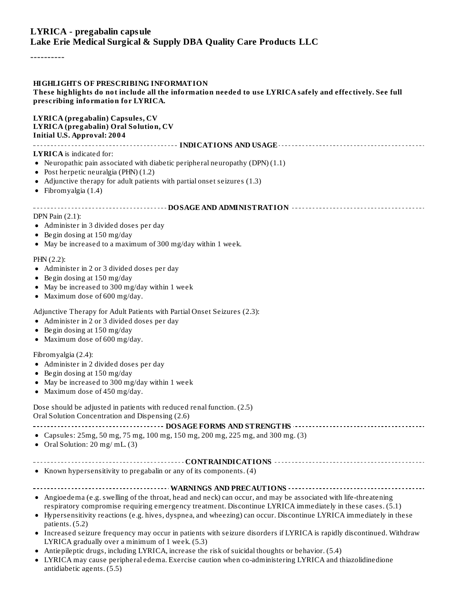#### **LYRICA - pregabalin capsule Lake Erie Medical Surgical & Supply DBA Quality Care Products LLC**

----------

#### **HIGHLIGHTS OF PRESCRIBING INFORMATION**

**These highlights do not include all the information needed to use LYRICA safely and effectively. See full prescribing information for LYRICA.**

#### **LYRICA (pregabalin) Capsules, CV LYRICA (pregabalin) Oral Solution, CV Initial U.S. Approval: 2004**

#### **INDICATIONS AND USAGE INDICATIONS AND USAGE** *CONSIDERATIONS* **AND USAGE** *AND* **USAGE** *AND* **USAGE** *AND AND AND AND AND AND AND AND AND AND AND AND AND AND*

#### **LYRICA** is indicated for:

- Neuropathic pain associated with diabetic peripheral neuropathy (DPN) (1.1)
- Post herpetic neuralgia (PHN) (1.2)
- Adjunctive therapy for adult patients with partial onset seizures (1.3)
- $\bullet$  Fibromyalgia (1.4)

#### **DOSAGE AND ADMINISTRATION**

#### DPN Pain  $(2.1)$ :

- Administer in 3 divided doses per day
- Begin dosing at 150 mg/day
- May be increased to a maximum of 300 mg/day within 1 week.

#### PHN (2.2):

- Administer in 2 or 3 divided doses per day
- Begin dosing at 150 mg/day
- May be increased to 300 mg/day within 1 week
- Maximum dose of 600 mg/day.

Adjunctive Therapy for Adult Patients with Partial Onset Seizures (2.3):

- Administer in 2 or 3 divided doses per day
- Begin dosing at 150 mg/day
- Maximum dose of 600 mg/day.

#### Fibromyalgia (2.4):

- Administer in 2 divided doses per day
- Begin dosing at 150 mg/day
- May be increased to 300 mg/day within 1 week
- Maximum dose of 450 mg/day.

Dose should be adjusted in patients with reduced renal function. (2.5) Oral Solution Concentration and Dispensing (2.6)

**DOSAGE FORMS AND STRENGTHS**

- Capsules: 25mg, 50 mg, 75 mg, 100 mg, 150 mg, 200 mg, 225 mg, and 300 mg. (3)
- Oral Solution:  $20 \text{ mg/mL}$ . (3)

# **CONTRAINDICATIONS**

• Known hypersensitivity to pregabalin or any of its components. (4)

- Angioedema (e.g. swelling of the throat, head and neck) can occur, and may be associated with life-threatening respiratory compromise requiring emergency treatment. Discontinue LYRICA immediately in these cases. (5.1)
- Hypersensitivity reactions (e.g. hives, dyspnea, and wheezing) can occur. Discontinue LYRICA immediately in these patients. (5.2)
- Increased seizure frequency may occur in patients with seizure disorders if LYRICA is rapidly discontinued. Withdraw LYRICA gradually over a minimum of 1 week. (5.3)
- Antiepileptic drugs, including LYRICA, increase the risk of suicidal thoughts or behavior. (5.4)
- LYRICA may cause peripheral edema. Exercise caution when co-administering LYRICA and thiazolidinedione antidiabetic agents. (5.5)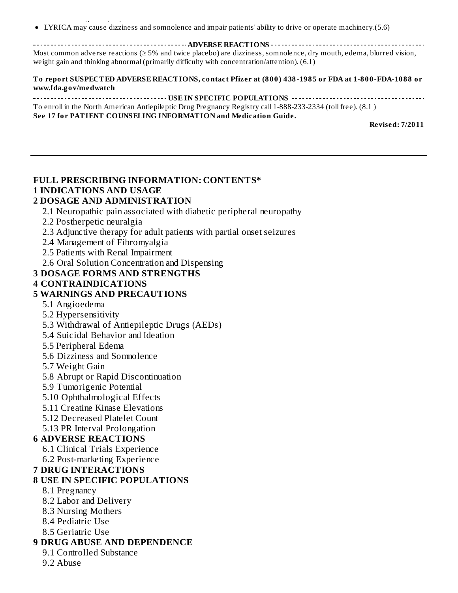antidiabetic agents. (5.5) LYRICA may cause dizziness and somnolence and impair patients' ability to drive or operate machinery.(5.6)

**ADVERSE REACTIONS** Most common adverse reactions ( $\geq$  5% and twice placebo) are dizziness, somnolence, dry mouth, edema, blurred vision, weight gain and thinking abnormal (primarily difficulty with concentration/attention). (6.1)

#### **To report SUSPECTED ADVERSE REACTIONS, contact Pfizer at (800) 438-1985 or FDA at 1-800-FDA-1088 or www.fda.gov/medwatch**

**USE IN SPECIFIC POPULATIONS** To enroll in the North American Antiepileptic Drug Pregnancy Registry call 1-888-233-2334 (toll free). (8.1 ) **See 17 for PATIENT COUNSELING INFORMATION and Medication Guide.**

**Revised: 7/2011**

# **FULL PRESCRIBING INFORMATION: CONTENTS\* 1 INDICATIONS AND USAGE**

#### **2 DOSAGE AND ADMINISTRATION**

- 2.1 Neuropathic pain associated with diabetic peripheral neuropathy
- 2.2 Postherpetic neuralgia
- 2.3 Adjunctive therapy for adult patients with partial onset seizures
- 2.4 Management of Fibromyalgia
- 2.5 Patients with Renal Impairment
- 2.6 Oral Solution Concentration and Dispensing
- **3 DOSAGE FORMS AND STRENGTHS**
- **4 CONTRAINDICATIONS**

#### **5 WARNINGS AND PRECAUTIONS**

- 5.1 Angioedema
- 5.2 Hypersensitivity
- 5.3 Withdrawal of Antiepileptic Drugs (AEDs)
- 5.4 Suicidal Behavior and Ideation
- 5.5 Peripheral Edema
- 5.6 Dizziness and Somnolence
- 5.7 Weight Gain
- 5.8 Abrupt or Rapid Discontinuation
- 5.9 Tumorigenic Potential
- 5.10 Ophthalmological Effects
- 5.11 Creatine Kinase Elevations
- 5.12 Decreased Platelet Count
- 5.13 PR Interval Prolongation

#### **6 ADVERSE REACTIONS**

- 6.1 Clinical Trials Experience
- 6.2 Post-marketing Experience

#### **7 DRUG INTERACTIONS**

#### **8 USE IN SPECIFIC POPULATIONS**

- 8.1 Pregnancy
- 8.2 Labor and Delivery
- 8.3 Nursing Mothers
- 8.4 Pediatric Use
- 8.5 Geriatric Use

#### **9 DRUG ABUSE AND DEPENDENCE**

- 9.1 Controlled Substance
- 9.2 Abuse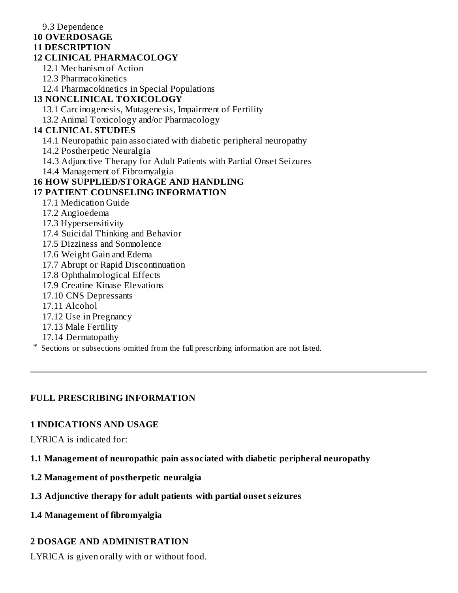9.3 Dependence

# **10 OVERDOSAGE**

#### **11 DESCRIPTION**

# **12 CLINICAL PHARMACOLOGY**

12.1 Mechanism of Action

12.3 Pharmacokinetics

12.4 Pharmacokinetics in Special Populations

# **13 NONCLINICAL TOXICOLOGY**

- 13.1 Carcinogenesis, Mutagenesis, Impairment of Fertility
- 13.2 Animal Toxicology and/or Pharmacology

# **14 CLINICAL STUDIES**

14.1 Neuropathic pain associated with diabetic peripheral neuropathy

14.2 Postherpetic Neuralgia

14.3 Adjunctive Therapy for Adult Patients with Partial Onset Seizures

14.4 Management of Fibromyalgia

# **16 HOW SUPPLIED/STORAGE AND HANDLING**

# **17 PATIENT COUNSELING INFORMATION**

- 17.1 Medication Guide
- 17.2 Angioedema
- 17.3 Hypersensitivity
- 17.4 Suicidal Thinking and Behavior
- 17.5 Dizziness and Somnolence
- 17.6 Weight Gain and Edema
- 17.7 Abrupt or Rapid Discontinuation
- 17.8 Ophthalmological Effects
- 17.9 Creatine Kinase Elevations
- 17.10 CNS Depressants
- 17.11 Alcohol
- 17.12 Use in Pregnancy
- 17.13 Male Fertility
- 17.14 Dermatopathy
- \* Sections or subsections omitted from the full prescribing information are not listed.

# **FULL PRESCRIBING INFORMATION**

# **1 INDICATIONS AND USAGE**

# LYRICA is indicated for:

# **1.1 Management of neuropathic pain associated with diabetic peripheral neuropathy**

# **1.2 Management of postherpetic neuralgia**

# **1.3 Adjunctive therapy for adult patients with partial ons et s eizures**

# **1.4 Management of fibromyalgia**

# **2 DOSAGE AND ADMINISTRATION**

LYRICA is given orally with or without food.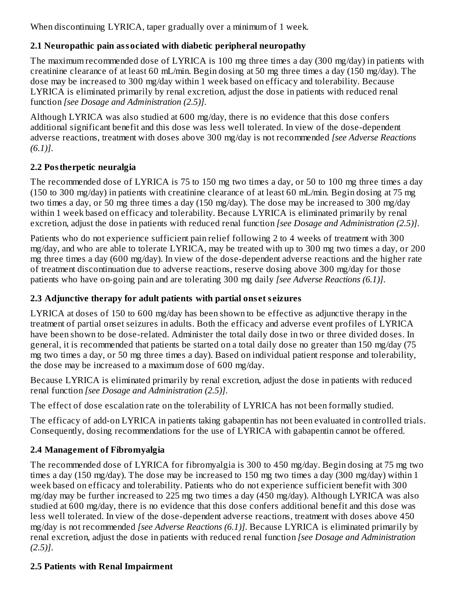When discontinuing LYRICA, taper gradually over a minimum of 1 week.

# **2.1 Neuropathic pain associated with diabetic peripheral neuropathy**

The maximum recommended dose of LYRICA is 100 mg three times a day (300 mg/day) in patients with creatinine clearance of at least 60 mL/min. Begin dosing at 50 mg three times a day (150 mg/day). The dose may be increased to 300 mg/day within 1 week based on efficacy and tolerability. Because LYRICA is eliminated primarily by renal excretion, adjust the dose in patients with reduced renal function *[see Dosage and Administration (2.5)]*.

Although LYRICA was also studied at 600 mg/day, there is no evidence that this dose confers additional significant benefit and this dose was less well tolerated. In view of the dose-dependent adverse reactions, treatment with doses above 300 mg/day is not recommended *[see Adverse Reactions (6.1)]*.

# **2.2 Postherpetic neuralgia**

The recommended dose of LYRICA is 75 to 150 mg two times a day, or 50 to 100 mg three times a day (150 to 300 mg/day) in patients with creatinine clearance of at least 60 mL/min. Begin dosing at 75 mg two times a day, or 50 mg three times a day (150 mg/day). The dose may be increased to 300 mg/day within 1 week based on efficacy and tolerability. Because LYRICA is eliminated primarily by renal excretion, adjust the dose in patients with reduced renal function *[see Dosage and Administration (2.5)]*.

Patients who do not experience sufficient pain relief following 2 to 4 weeks of treatment with 300 mg/day, and who are able to tolerate LYRICA, may be treated with up to 300 mg two times a day, or 200 mg three times a day (600 mg/day). In view of the dose-dependent adverse reactions and the higher rate of treatment discontinuation due to adverse reactions, reserve dosing above 300 mg/day for those patients who have on-going pain and are tolerating 300 mg daily *[see Adverse Reactions (6.1)]*.

# **2.3 Adjunctive therapy for adult patients with partial ons et s eizures**

LYRICA at doses of 150 to 600 mg/day has been shown to be effective as adjunctive therapy in the treatment of partial onset seizures in adults. Both the efficacy and adverse event profiles of LYRICA have been shown to be dose-related. Administer the total daily dose in two or three divided doses. In general, it is recommended that patients be started on a total daily dose no greater than 150 mg/day (75 mg two times a day, or 50 mg three times a day). Based on individual patient response and tolerability, the dose may be increased to a maximum dose of 600 mg/day.

Because LYRICA is eliminated primarily by renal excretion, adjust the dose in patients with reduced renal function *[see Dosage and Administration (2.5)]*.

The effect of dose escalation rate on the tolerability of LYRICA has not been formally studied.

The efficacy of add-on LYRICA in patients taking gabapentin has not been evaluated in controlled trials. Consequently, dosing recommendations for the use of LYRICA with gabapentin cannot be offered.

# **2.4 Management of Fibromyalgia**

The recommended dose of LYRICA for fibromyalgia is 300 to 450 mg/day. Begin dosing at 75 mg two times a day (150 mg/day). The dose may be increased to 150 mg two times a day (300 mg/day) within 1 week based on efficacy and tolerability. Patients who do not experience sufficient benefit with 300 mg/day may be further increased to 225 mg two times a day (450 mg/day). Although LYRICA was also studied at 600 mg/day, there is no evidence that this dose confers additional benefit and this dose was less well tolerated. In view of the dose-dependent adverse reactions, treatment with doses above 450 mg/day is not recommended *[see Adverse Reactions (6.1)]*. Because LYRICA is eliminated primarily by renal excretion, adjust the dose in patients with reduced renal function *[see Dosage and Administration (2.5)]*.

# **2.5 Patients with Renal Impairment**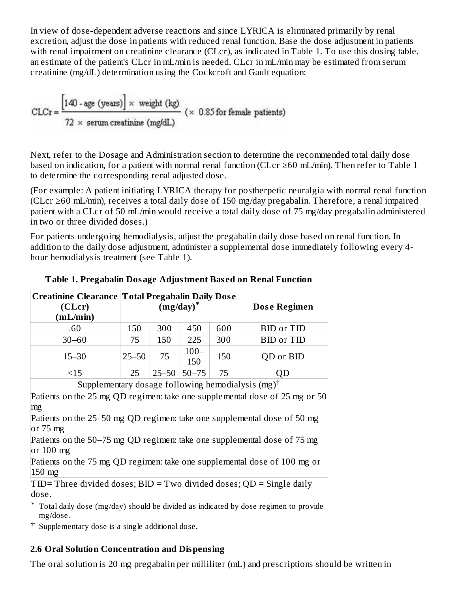In view of dose-dependent adverse reactions and since LYRICA is eliminated primarily by renal excretion, adjust the dose in patients with reduced renal function. Base the dose adjustment in patients with renal impairment on creatinine clearance (CLcr), as indicated in Table 1. To use this dosing table, an estimate of the patient's CLcr in mL/min is needed. CLcr in mL/min may be estimated from serum creatinine (mg/dL) determination using the Cockcroft and Gault equation:

$$
CLCr = \frac{[140 - age (years)] \times weight (kg)}{72 \times serum creationine (mgdL)} \quad (\times \text{ 0.85 for female patients})
$$

Next, refer to the Dosage and Administration section to determine the recommended total daily dose based on indication, for a patient with normal renal function (CLcr  $\geq 60$  mL/min). Then refer to Table 1 to determine the corresponding renal adjusted dose.

(For example: A patient initiating LYRICA therapy for postherpetic neuralgia with normal renal function (CLcr ≥60 mL/min), receives a total daily dose of 150 mg/day pregabalin. Therefore, a renal impaired patient with a CLcr of 50 mL/min would receive a total daily dose of 75 mg/day pregabalin administered in two or three divided doses.)

For patients undergoing hemodialysis, adjust the pregabalin daily dose based on renal function. In addition to the daily dose adjustment, administer a supplemental dose immediately following every 4 hour hemodialysis treatment (see Table 1).

| <b>Creatinine Clearance Total Pregabalin Daily Dose</b>                                           |           |           |                |     |                                                                             |
|---------------------------------------------------------------------------------------------------|-----------|-----------|----------------|-----|-----------------------------------------------------------------------------|
| (CLcr)                                                                                            |           |           | $(mg/day)^*$   |     | Dose Regimen                                                                |
| (mL/min)                                                                                          |           |           |                |     |                                                                             |
| .60                                                                                               | 150       | 300       | 450            | 600 | <b>BID</b> or TID                                                           |
| $30 - 60$                                                                                         | 75        | 150       | 225            | 300 | <b>BID</b> or TID                                                           |
| $15 - 30$                                                                                         | $25 - 50$ | 75        | $100 -$<br>150 | 150 | QD or BID                                                                   |
| <15                                                                                               | 25        | $25 - 50$ | $50 - 75$      | 75  | QD                                                                          |
| Supplementary dosage following hemodialysis $(mg)^{\dagger}$                                      |           |           |                |     |                                                                             |
|                                                                                                   |           |           |                |     | Patients on the 25 mg QD regimen: take one supplemental dose of 25 mg or 50 |
| mg                                                                                                |           |           |                |     |                                                                             |
| Patients on the 25–50 mg QD regimen: take one supplemental dose of 50 mg                          |           |           |                |     |                                                                             |
| or $75 \text{ mg}$                                                                                |           |           |                |     |                                                                             |
| Patients on the 50–75 mg QD regimen: take one supplemental dose of 75 mg                          |           |           |                |     |                                                                             |
| or $100$ mg                                                                                       |           |           |                |     |                                                                             |
| Patients on the 75 mg QD regimen: take one supplemental dose of 100 mg or                         |           |           |                |     |                                                                             |
| $150 \text{ mg}$                                                                                  |           |           |                |     |                                                                             |
| TID= Three divided doses; $BID = Two$ divided doses; $QD =$ Single daily                          |           |           |                |     |                                                                             |
| dose.                                                                                             |           |           |                |     |                                                                             |
| * Total daily dose (mg/day) should be divided as indicated by dose regimen to provide<br>mg/dose. |           |           |                |     |                                                                             |

**Table 1. Pregabalin Dosage Adjustment Bas ed on Renal Function**

† Supplementary dose is a single additional dose.

# **2.6 Oral Solution Concentration and Dispensing**

The oral solution is 20 mg pregabalin per milliliter (mL) and prescriptions should be written in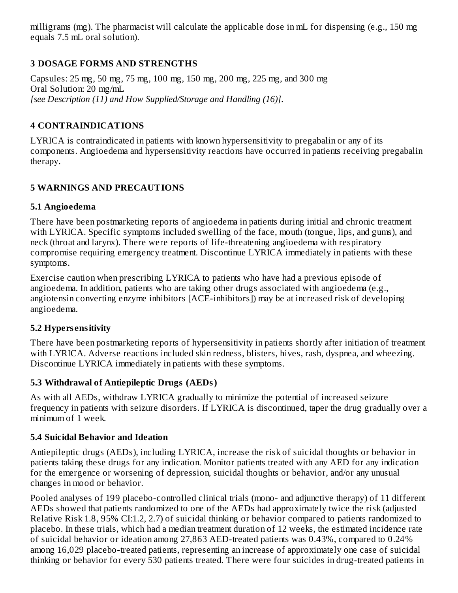milligrams (mg). The pharmacist will calculate the applicable dose in mL for dispensing (e.g., 150 mg equals 7.5 mL oral solution).

# **3 DOSAGE FORMS AND STRENGTHS**

Capsules: 25 mg, 50 mg, 75 mg, 100 mg, 150 mg, 200 mg, 225 mg, and 300 mg Oral Solution: 20 mg/mL *[see Description (11) and How Supplied/Storage and Handling (16)]*.

# **4 CONTRAINDICATIONS**

LYRICA is contraindicated in patients with known hypersensitivity to pregabalin or any of its components. Angioedema and hypersensitivity reactions have occurred in patients receiving pregabalin therapy.

# **5 WARNINGS AND PRECAUTIONS**

### **5.1 Angioedema**

There have been postmarketing reports of angioedema in patients during initial and chronic treatment with LYRICA. Specific symptoms included swelling of the face, mouth (tongue, lips, and gums), and neck (throat and larynx). There were reports of life-threatening angioedema with respiratory compromise requiring emergency treatment. Discontinue LYRICA immediately in patients with these symptoms.

Exercise caution when prescribing LYRICA to patients who have had a previous episode of angioedema. In addition, patients who are taking other drugs associated with angioedema (e.g., angiotensin converting enzyme inhibitors [ACE-inhibitors]) may be at increased risk of developing angioedema.

### **5.2 Hypers ensitivity**

There have been postmarketing reports of hypersensitivity in patients shortly after initiation of treatment with LYRICA. Adverse reactions included skin redness, blisters, hives, rash, dyspnea, and wheezing. Discontinue LYRICA immediately in patients with these symptoms.

# **5.3 Withdrawal of Antiepileptic Drugs (AEDs)**

As with all AEDs, withdraw LYRICA gradually to minimize the potential of increased seizure frequency in patients with seizure disorders. If LYRICA is discontinued, taper the drug gradually over a minimum of 1 week.

# **5.4 Suicidal Behavior and Ideation**

Antiepileptic drugs (AEDs), including LYRICA, increase the risk of suicidal thoughts or behavior in patients taking these drugs for any indication. Monitor patients treated with any AED for any indication for the emergence or worsening of depression, suicidal thoughts or behavior, and/or any unusual changes in mood or behavior.

Pooled analyses of 199 placebo-controlled clinical trials (mono- and adjunctive therapy) of 11 different AEDs showed that patients randomized to one of the AEDs had approximately twice the risk (adjusted Relative Risk 1.8, 95% CI:1.2, 2.7) of suicidal thinking or behavior compared to patients randomized to placebo. In these trials, which had a median treatment duration of 12 weeks, the estimated incidence rate of suicidal behavior or ideation among 27,863 AED-treated patients was 0.43%, compared to 0.24% among 16,029 placebo-treated patients, representing an increase of approximately one case of suicidal thinking or behavior for every 530 patients treated. There were four suicides in drug-treated patients in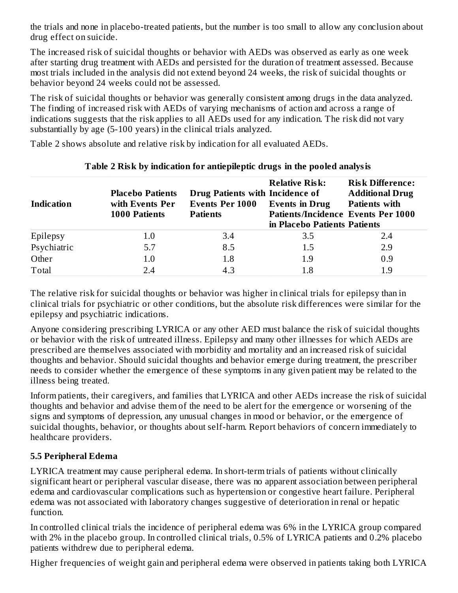the trials and none in placebo-treated patients, but the number is too small to allow any conclusion about drug effect on suicide.

The increased risk of suicidal thoughts or behavior with AEDs was observed as early as one week after starting drug treatment with AEDs and persisted for the duration of treatment assessed. Because most trials included in the analysis did not extend beyond 24 weeks, the risk of suicidal thoughts or behavior beyond 24 weeks could not be assessed.

The risk of suicidal thoughts or behavior was generally consistent among drugs in the data analyzed. The finding of increased risk with AEDs of varying mechanisms of action and across a range of indications suggests that the risk applies to all AEDs used for any indication. The risk did not vary substantially by age (5-100 years) in the clinical trials analyzed.

Table 2 shows absolute and relative risk by indication for all evaluated AEDs.

|                   |                                            |                                                           | <b>Relative Risk:</b>                     | <b>Risk Difference:</b>                        |
|-------------------|--------------------------------------------|-----------------------------------------------------------|-------------------------------------------|------------------------------------------------|
| <b>Indication</b> | <b>Placebo Patients</b><br>with Events Per | Drug Patients with Incidence of<br><b>Events Per 1000</b> | <b>Events in Drug</b>                     | <b>Additional Drug</b><br><b>Patients with</b> |
|                   | <b>1000 Patients</b>                       | <b>Patients</b>                                           | <b>Patients/Incidence Events Per 1000</b> |                                                |
|                   |                                            |                                                           | in Placebo Patients Patients              |                                                |
| Epilepsy          | $1.0\,$                                    | 3.4                                                       | 3.5                                       | 2.4                                            |
| Psychiatric       | 5.7                                        | 8.5                                                       | 1.5                                       | 2.9                                            |
| Other             | 1.0                                        | 1.8                                                       | 1.9                                       | 0.9                                            |
| Total             | 2.4                                        | 4.3                                                       | 1.8                                       | 1.9                                            |

### **Table 2 Risk by indication for antiepileptic drugs in the pooled analysis**

The relative risk for suicidal thoughts or behavior was higher in clinical trials for epilepsy than in clinical trials for psychiatric or other conditions, but the absolute risk differences were similar for the epilepsy and psychiatric indications.

Anyone considering prescribing LYRICA or any other AED must balance the risk of suicidal thoughts or behavior with the risk of untreated illness. Epilepsy and many other illnesses for which AEDs are prescribed are themselves associated with morbidity and mortality and an increased risk of suicidal thoughts and behavior. Should suicidal thoughts and behavior emerge during treatment, the prescriber needs to consider whether the emergence of these symptoms in any given patient may be related to the illness being treated.

Inform patients, their caregivers, and families that LYRICA and other AEDs increase the risk of suicidal thoughts and behavior and advise them of the need to be alert for the emergence or worsening of the signs and symptoms of depression, any unusual changes in mood or behavior, or the emergence of suicidal thoughts, behavior, or thoughts about self-harm. Report behaviors of concern immediately to healthcare providers.

# **5.5 Peripheral Edema**

LYRICA treatment may cause peripheral edema. In short-term trials of patients without clinically significant heart or peripheral vascular disease, there was no apparent association between peripheral edema and cardiovascular complications such as hypertension or congestive heart failure. Peripheral edema was not associated with laboratory changes suggestive of deterioration in renal or hepatic function.

In controlled clinical trials the incidence of peripheral edema was 6% in the LYRICA group compared with 2% in the placebo group. In controlled clinical trials, 0.5% of LYRICA patients and 0.2% placebo patients withdrew due to peripheral edema.

Higher frequencies of weight gain and peripheral edema were observed in patients taking both LYRICA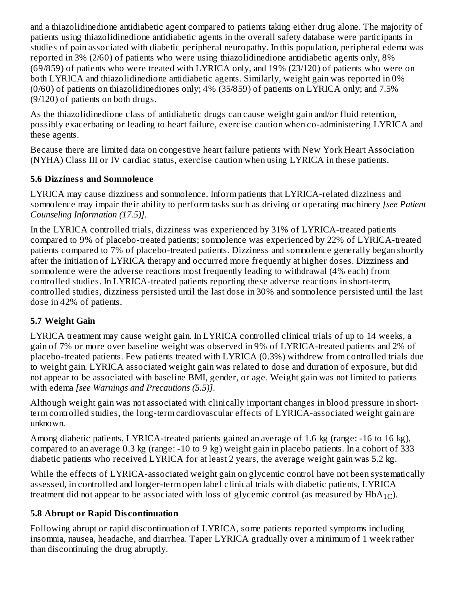and a thiazolidinedione antidiabetic agent compared to patients taking either drug alone. The majority of patients using thiazolidinedione antidiabetic agents in the overall safety database were participants in studies of pain associated with diabetic peripheral neuropathy. In this population, peripheral edema was reported in 3% (2/60) of patients who were using thiazolidinedione antidiabetic agents only, 8% (69/859) of patients who were treated with LYRICA only, and 19% (23/120) of patients who were on both LYRICA and thiazolidinedione antidiabetic agents. Similarly, weight gain was reported in 0% (0/60) of patients on thiazolidinediones only; 4% (35/859) of patients on LYRICA only; and 7.5% (9/120) of patients on both drugs.

As the thiazolidinedione class of antidiabetic drugs can cause weight gain and/or fluid retention, possibly exacerbating or leading to heart failure, exercise caution when co-administering LYRICA and these agents.

Because there are limited data on congestive heart failure patients with New York Heart Association (NYHA) Class III or IV cardiac status, exercise caution when using LYRICA in these patients.

# **5.6 Dizziness and Somnolence**

LYRICA may cause dizziness and somnolence. Inform patients that LYRICA-related dizziness and somnolence may impair their ability to perform tasks such as driving or operating machinery *[see Patient Counseling Information (17.5)]*.

In the LYRICA controlled trials, dizziness was experienced by 31% of LYRICA-treated patients compared to 9% of placebo-treated patients; somnolence was experienced by 22% of LYRICA-treated patients compared to 7% of placebo-treated patients. Dizziness and somnolence generally began shortly after the initiation of LYRICA therapy and occurred more frequently at higher doses. Dizziness and somnolence were the adverse reactions most frequently leading to withdrawal (4% each) from controlled studies. In LYRICA-treated patients reporting these adverse reactions in short-term, controlled studies, dizziness persisted until the last dose in 30% and somnolence persisted until the last dose in 42% of patients.

# **5.7 Weight Gain**

LYRICA treatment may cause weight gain. In LYRICA controlled clinical trials of up to 14 weeks, a gain of 7% or more over baseline weight was observed in 9% of LYRICA-treated patients and 2% of placebo-treated patients. Few patients treated with LYRICA (0.3%) withdrew from controlled trials due to weight gain. LYRICA associated weight gain was related to dose and duration of exposure, but did not appear to be associated with baseline BMI, gender, or age. Weight gain was not limited to patients with edema *[see Warnings and Precautions (5.5)]*.

Although weight gain was not associated with clinically important changes in blood pressure in shortterm controlled studies, the long-term cardiovascular effects of LYRICA-associated weight gain are unknown.

Among diabetic patients, LYRICA-treated patients gained an average of 1.6 kg (range: -16 to 16 kg), compared to an average 0.3 kg (range: -10 to 9 kg) weight gain in placebo patients. In a cohort of 333 diabetic patients who received LYRICA for at least 2 years, the average weight gain was 5.2 kg.

While the effects of LYRICA-associated weight gain on glycemic control have not been systematically assessed, in controlled and longer-term open label clinical trials with diabetic patients, LYRICA treatment did not appear to be associated with loss of glycemic control (as measured by  $\text{HbA}_\text{1C}$ ).

# **5.8 Abrupt or Rapid Dis continuation**

Following abrupt or rapid discontinuation of LYRICA, some patients reported symptoms including insomnia, nausea, headache, and diarrhea. Taper LYRICA gradually over a minimum of 1 week rather than discontinuing the drug abruptly.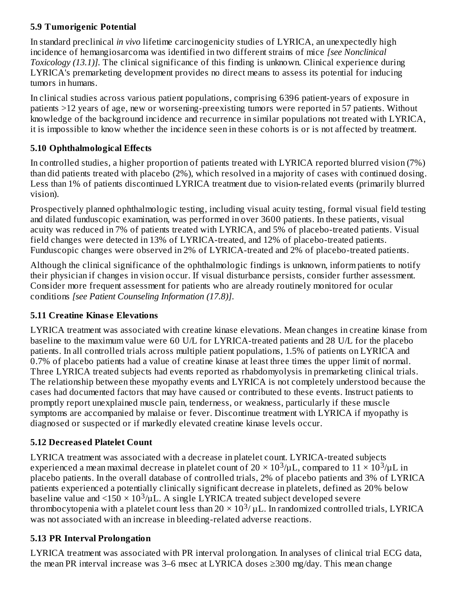# **5.9 Tumorigenic Potential**

In standard preclinical *in vivo* lifetime carcinogenicity studies of LYRICA, an unexpectedly high incidence of hemangiosarcoma was identified in two different strains of mice *[see Nonclinical Toxicology (13.1)].* The clinical significance of this finding is unknown. Clinical experience during LYRICA's premarketing development provides no direct means to assess its potential for inducing tumors in humans.

In clinical studies across various patient populations, comprising 6396 patient-years of exposure in patients >12 years of age, new or worsening-preexisting tumors were reported in 57 patients. Without knowledge of the background incidence and recurrence in similar populations not treated with LYRICA, it is impossible to know whether the incidence seen in these cohorts is or is not affected by treatment.

# **5.10 Ophthalmological Effects**

In controlled studies, a higher proportion of patients treated with LYRICA reported blurred vision (7%) than did patients treated with placebo (2%), which resolved in a majority of cases with continued dosing. Less than 1% of patients discontinued LYRICA treatment due to vision-related events (primarily blurred vision).

Prospectively planned ophthalmologic testing, including visual acuity testing, formal visual field testing and dilated funduscopic examination, was performed in over 3600 patients. In these patients, visual acuity was reduced in 7% of patients treated with LYRICA, and 5% of placebo-treated patients. Visual field changes were detected in 13% of LYRICA-treated, and 12% of placebo-treated patients. Funduscopic changes were observed in 2% of LYRICA-treated and 2% of placebo-treated patients.

Although the clinical significance of the ophthalmologic findings is unknown, inform patients to notify their physician if changes in vision occur. If visual disturbance persists, consider further assessment. Consider more frequent assessment for patients who are already routinely monitored for ocular conditions *[see Patient Counseling Information (17.8)]*.

# **5.11 Creatine Kinas e Elevations**

LYRICA treatment was associated with creatine kinase elevations. Mean changes in creatine kinase from baseline to the maximum value were 60 U/L for LYRICA-treated patients and 28 U/L for the placebo patients. In all controlled trials across multiple patient populations, 1.5% of patients on LYRICA and 0.7% of placebo patients had a value of creatine kinase at least three times the upper limit of normal. Three LYRICA treated subjects had events reported as rhabdomyolysis in premarketing clinical trials. The relationship between these myopathy events and LYRICA is not completely understood because the cases had documented factors that may have caused or contributed to these events. Instruct patients to promptly report unexplained muscle pain, tenderness, or weakness, particularly if these muscle symptoms are accompanied by malaise or fever. Discontinue treatment with LYRICA if myopathy is diagnosed or suspected or if markedly elevated creatine kinase levels occur.

# **5.12 Decreas ed Platelet Count**

LYRICA treatment was associated with a decrease in platelet count. LYRICA-treated subjects experienced a mean maximal decrease in platelet count of 20  $\times$  10<sup>3</sup>/µL, compared to 11  $\times$  10<sup>3</sup>/µL in placebo patients. In the overall database of controlled trials, 2% of placebo patients and 3% of LYRICA patients experienced a potentially clinically significant decrease in platelets, defined as 20% below baseline value and <150  $\times$  10<sup>3</sup>/µL. A single LYRICA treated subject developed severe thrombocytopenia with a platelet count less than 20  $\times$  10<sup>3</sup>/  $\mu$ L. In randomized controlled trials, LYRICA was not associated with an increase in bleeding-related adverse reactions.

# **5.13 PR Interval Prolongation**

LYRICA treatment was associated with PR interval prolongation. In analyses of clinical trial ECG data, the mean PR interval increase was 3–6 msec at LYRICA doses ≥300 mg/day. This mean change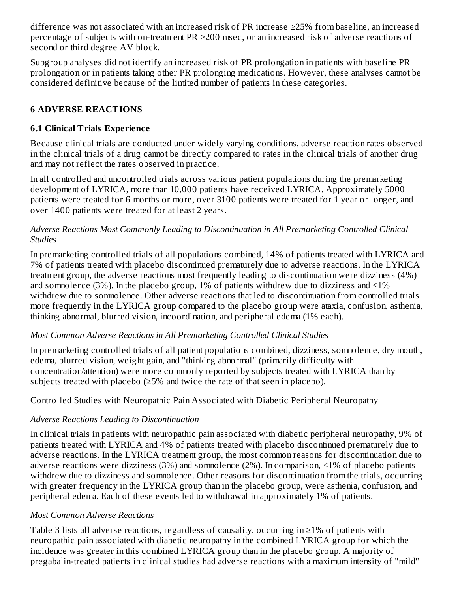difference was not associated with an increased risk of PR increase ≥25% from baseline, an increased percentage of subjects with on-treatment PR >200 msec, or an increased risk of adverse reactions of second or third degree AV block.

Subgroup analyses did not identify an increased risk of PR prolongation in patients with baseline PR prolongation or in patients taking other PR prolonging medications. However, these analyses cannot be considered definitive because of the limited number of patients in these categories.

# **6 ADVERSE REACTIONS**

# **6.1 Clinical Trials Experience**

Because clinical trials are conducted under widely varying conditions, adverse reaction rates observed in the clinical trials of a drug cannot be directly compared to rates in the clinical trials of another drug and may not reflect the rates observed in practice.

In all controlled and uncontrolled trials across various patient populations during the premarketing development of LYRICA, more than 10,000 patients have received LYRICA. Approximately 5000 patients were treated for 6 months or more, over 3100 patients were treated for 1 year or longer, and over 1400 patients were treated for at least 2 years.

### *Adverse Reactions Most Commonly Leading to Discontinuation in All Premarketing Controlled Clinical Studies*

In premarketing controlled trials of all populations combined, 14% of patients treated with LYRICA and 7% of patients treated with placebo discontinued prematurely due to adverse reactions. In the LYRICA treatment group, the adverse reactions most frequently leading to discontinuation were dizziness (4%) and somnolence (3%). In the placebo group, 1% of patients withdrew due to dizziness and  $\leq$ 1% withdrew due to somnolence. Other adverse reactions that led to discontinuation from controlled trials more frequently in the LYRICA group compared to the placebo group were ataxia, confusion, asthenia, thinking abnormal, blurred vision, incoordination, and peripheral edema (1% each).

# *Most Common Adverse Reactions in All Premarketing Controlled Clinical Studies*

In premarketing controlled trials of all patient populations combined, dizziness, somnolence, dry mouth, edema, blurred vision, weight gain, and "thinking abnormal" (primarily difficulty with concentration/attention) were more commonly reported by subjects treated with LYRICA than by subjects treated with placebo ( $\geq$ 5% and twice the rate of that seen in placebo).

### Controlled Studies with Neuropathic Pain Associated with Diabetic Peripheral Neuropathy

# *Adverse Reactions Leading to Discontinuation*

In clinical trials in patients with neuropathic pain associated with diabetic peripheral neuropathy, 9% of patients treated with LYRICA and 4% of patients treated with placebo discontinued prematurely due to adverse reactions. In the LYRICA treatment group, the most common reasons for discontinuation due to adverse reactions were dizziness (3%) and somnolence (2%). In comparison, <1% of placebo patients withdrew due to dizziness and somnolence. Other reasons for discontinuation from the trials, occurring with greater frequency in the LYRICA group than in the placebo group, were asthenia, confusion, and peripheral edema. Each of these events led to withdrawal in approximately 1% of patients.

# *Most Common Adverse Reactions*

Table 3 lists all adverse reactions, regardless of causality, occurring in  $\geq$ 1% of patients with neuropathic pain associated with diabetic neuropathy in the combined LYRICA group for which the incidence was greater in this combined LYRICA group than in the placebo group. A majority of pregabalin-treated patients in clinical studies had adverse reactions with a maximum intensity of "mild"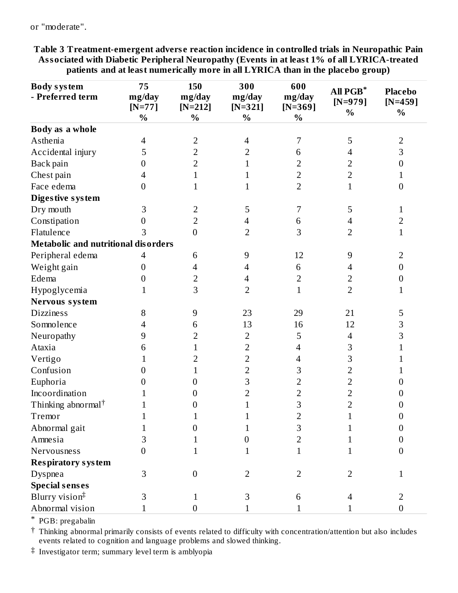**Table 3 Treatment-emergent advers e reaction incidence in controlled trials in Neuropathic Pain Associated with Diabetic Peripheral Neuropathy (Events in at least 1% of all LYRICA-treated patients and at least numerically more in all LYRICA than in the placebo group)**

| <b>Body system</b><br>- Preferred term     | 75<br>mg/day<br>$[N=77]$ | 150<br>mg/day<br>$[N=212]$ | 300<br>mg/day<br>$[N=321]$ | 600<br>mg/day<br>$[N=369]$ | All PGB*<br>$[N=979]$<br>$\%$ | <b>Placebo</b><br>$[N=459]$<br>$\%$ |
|--------------------------------------------|--------------------------|----------------------------|----------------------------|----------------------------|-------------------------------|-------------------------------------|
|                                            | $\%$                     | $\%$                       | $\%$                       | $\%$                       |                               |                                     |
| Body as a whole                            |                          |                            |                            |                            |                               |                                     |
| Asthenia                                   | 4                        | $\overline{2}$             | 4                          | 7                          | 5                             | $\overline{2}$                      |
| Accidental injury                          | 5                        | 2                          | 2                          | 6                          | 4                             | 3                                   |
| Back pain                                  | $\overline{0}$           | 2                          | 1                          | 2                          | 2                             | 0                                   |
| Chest pain                                 | 4                        | 1                          | 1                          | 2                          | $\overline{2}$                | 1                                   |
| Face edema                                 | $\boldsymbol{0}$         | $\mathbf 1$                | $\mathbf{1}$               | $\overline{2}$             | $\mathbf{1}$                  | $\boldsymbol{0}$                    |
| Digestive system                           |                          |                            |                            |                            |                               |                                     |
| Dry mouth                                  | 3                        | 2                          | 5                          | 7                          | 5                             | 1                                   |
| Constipation                               | 0                        | 2                          | 4                          | 6                          | 4                             | 2                                   |
| Flatulence                                 | 3                        | $\overline{0}$             | 2                          | 3                          | 2                             | 1                                   |
| <b>Metabolic and nutritional disorders</b> |                          |                            |                            |                            |                               |                                     |
| Peripheral edema                           | 4                        | 6                          | 9                          | 12                         | 9                             | 2                                   |
| Weight gain                                | $\overline{0}$           | $\overline{4}$             | 4                          | 6                          | 4                             | $\boldsymbol{0}$                    |
| Edema                                      | 0                        | 2                          | 4                          | 2                          | $\overline{2}$                | $\overline{0}$                      |
| Hypoglycemia                               | 1                        | 3                          | 2                          | 1                          | 2                             | 1                                   |
| Nervous system                             |                          |                            |                            |                            |                               |                                     |
| <b>Dizziness</b>                           | 8                        | 9                          | 23                         | 29                         | 21                            | 5                                   |
| Somnolence                                 | 4                        | 6                          | 13                         | 16                         | 12                            | 3                                   |
| Neuropathy                                 | 9                        | 2                          | 2                          | 5                          | 4                             | 3                                   |
| Ataxia                                     | 6                        | 1                          | 2                          | 4                          | 3                             | 1                                   |
| Vertigo                                    | 1                        | 2                          | 2                          | 4                          | 3                             | 1                                   |
| Confusion                                  | 0                        | 1                          | 2                          | З                          | 2                             | 1                                   |
| Euphoria                                   | 0                        | 0                          | З                          | 2                          | 2                             | 0                                   |
| Incoordination                             |                          | 0                          | 2                          | 2                          | $\overline{2}$                | O                                   |
| Thinking abnormal <sup>†</sup>             |                          | 0                          | 1                          | З                          | 2                             | 0                                   |
| Tremor                                     | T                        | $\mathbf 1$                |                            | $\overline{c}$             | $\mathbf{1}$                  | 0                                   |
| Abnormal gait                              |                          | 0                          |                            | 3                          | $\mathbf 1$                   | 0                                   |
| Amnesia                                    | 3                        |                            | O                          | 2                          | 1                             | 0                                   |
| Nervousness                                | 0                        | 1                          | 1                          | $\mathbf 1$                | $\mathbf{1}$                  | 0                                   |
| <b>Respiratory system</b>                  |                          |                            |                            |                            |                               |                                     |
| Dyspnea                                    | 3                        | $\boldsymbol{0}$           | $\overline{2}$             | $\overline{2}$             | $\overline{2}$                | $\mathbf{1}$                        |
| <b>Special senses</b>                      |                          |                            |                            |                            |                               |                                     |
| Blurry vision $\ddagger$                   | 3                        | 1                          | $\mathbf{3}$               | 6                          | 4                             | $\overline{2}$                      |
| Abnormal vision                            |                          | $\boldsymbol{0}$           |                            | 1                          |                               | $\boldsymbol{0}$                    |

\* PGB: pregabalin

† Thinking abnormal primarily consists of events related to difficulty with concentration/attention but also includes events related to cognition and language problems and slowed thinking.

‡ Investigator term; summary level term is amblyopia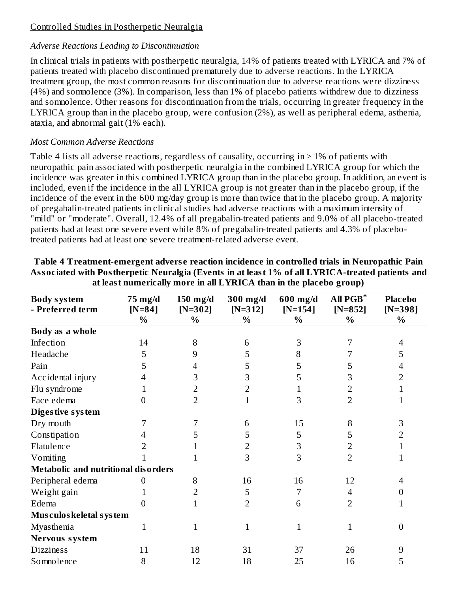### Controlled Studies in Postherpetic Neuralgia

### *Adverse Reactions Leading to Discontinuation*

In clinical trials in patients with postherpetic neuralgia, 14% of patients treated with LYRICA and 7% of patients treated with placebo discontinued prematurely due to adverse reactions. In the LYRICA treatment group, the most common reasons for discontinuation due to adverse reactions were dizziness (4%) and somnolence (3%). In comparison, less than 1% of placebo patients withdrew due to dizziness and somnolence. Other reasons for discontinuation from the trials, occurring in greater frequency in the LYRICA group than in the placebo group, were confusion (2%), as well as peripheral edema, asthenia, ataxia, and abnormal gait (1% each).

### *Most Common Adverse Reactions*

Table 4 lists all adverse reactions, regardless of causality, occurring in  $\geq 1\%$  of patients with neuropathic pain associated with postherpetic neuralgia in the combined LYRICA group for which the incidence was greater in this combined LYRICA group than in the placebo group. In addition, an event is included, even if the incidence in the all LYRICA group is not greater than in the placebo group, if the incidence of the event in the 600 mg/day group is more than twice that in the placebo group. A majority of pregabalin-treated patients in clinical studies had adverse reactions with a maximum intensity of "mild" or "moderate". Overall, 12.4% of all pregabalin-treated patients and 9.0% of all placebo-treated patients had at least one severe event while 8% of pregabalin-treated patients and 4.3% of placebotreated patients had at least one severe treatment-related adverse event.

| <b>Body system</b><br>- Preferred term     | $75 \text{ mg/d}$<br>$[N=84]$ | $150$ mg/d<br>$[N=302]$ | $300$ mg/d<br>$[N=312]$ | $600$ mg/d<br>$[N=154]$ | All PGB*<br>$[N=852]$ | <b>Placebo</b><br>$[N=398]$ |
|--------------------------------------------|-------------------------------|-------------------------|-------------------------|-------------------------|-----------------------|-----------------------------|
|                                            | $\frac{0}{0}$                 | $\%$                    | $\%$                    | $\%$                    | $\%$                  | $\%$                        |
| Body as a whole                            |                               |                         |                         |                         |                       |                             |
| Infection                                  | 14                            | 8                       | 6                       | 3                       | 7                     | 4                           |
| Headache                                   | 5                             | 9                       | 5                       | 8                       |                       | 5                           |
| Pain                                       | 5                             | 4                       | 5                       | 5                       | 5                     | 4                           |
| Accidental injury                          | 4                             | 3                       | 3                       | 5                       | З                     | 2                           |
| Flu syndrome                               |                               | 2                       | 2                       | 1                       | 2                     | $\mathbf{1}$                |
| Face edema                                 | $\mathbf{0}$                  | 2                       | 1                       | З                       | 2                     | $\mathbf 1$                 |
| Diges tive system                          |                               |                         |                         |                         |                       |                             |
| Dry mouth                                  | 7                             | 7                       | 6                       | 15                      | 8                     | 3                           |
| Constipation                               |                               | 5                       | 5                       | 5                       | 5                     | 2                           |
| Flatulence                                 | 2                             |                         | 2                       | 3                       | 2                     | 1                           |
| Vomiting                                   |                               |                         | 3                       | 3                       | $\overline{2}$        | 1                           |
| <b>Metabolic and nutritional disorders</b> |                               |                         |                         |                         |                       |                             |
| Peripheral edema                           | 0                             | 8                       | 16                      | 16                      | 12                    | 4                           |
| Weight gain                                |                               | 2                       | 5                       | 7                       | 4                     | 0                           |
| Edema                                      | $\mathbf{0}$                  | 1                       | 2                       | 6                       | 2                     | 1                           |
| Musculos keletal system                    |                               |                         |                         |                         |                       |                             |
| Myasthenia                                 | $\mathbf{1}$                  | $\mathbf{1}$            | 1                       | 1                       | $\mathbf{1}$          | $\overline{0}$              |
| Nervous system                             |                               |                         |                         |                         |                       |                             |
| <b>Dizziness</b>                           | 11                            | 18                      | 31                      | 37                      | 26                    | 9                           |
| Somnolence                                 | 8                             | 12                      | 18                      | 25                      | 16                    | 5                           |

### **Table 4 Treatment-emergent advers e reaction incidence in controlled trials in Neuropathic Pain Associated with Postherpetic Neuralgia (Events in at least 1% of all LYRICA-treated patients and at least numerically more in all LYRICA than in the placebo group)**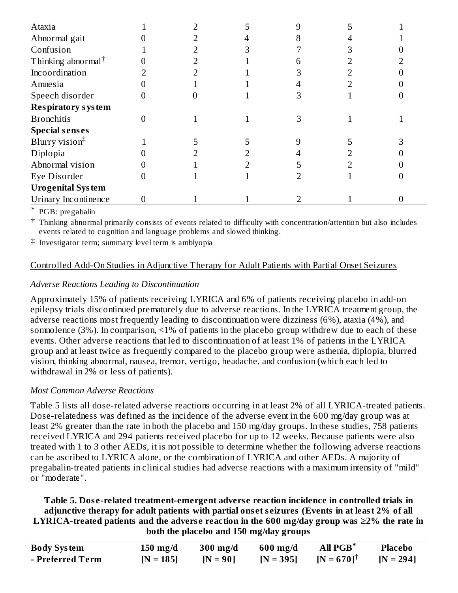| Ataxia                         |  |  |  |
|--------------------------------|--|--|--|
| Abnormal gait                  |  |  |  |
| Confusion                      |  |  |  |
| Thinking abnormal <sup>†</sup> |  |  |  |
| Incoordination                 |  |  |  |
| Amnesia                        |  |  |  |
| Speech disorder                |  |  |  |
| <b>Respiratory system</b>      |  |  |  |
| <b>Bronchitis</b>              |  |  |  |
| <b>Special senses</b>          |  |  |  |
| Blurry vision $\ddagger$       |  |  |  |
| Diplopia                       |  |  |  |
| Abnormal vision                |  |  |  |
| Eye Disorder                   |  |  |  |
| <b>Urogenital System</b>       |  |  |  |
| Urinary Incontinence           |  |  |  |

\* PGB: pregabalin

† Thinking abnormal primarily consists of events related to difficulty with concentration/attention but also includes events related to cognition and language problems and slowed thinking.

‡ Investigator term; summary level term is amblyopia

#### Controlled Add-On Studies in Adjunctive Therapy for Adult Patients with Partial Onset Seizures

#### *Adverse Reactions Leading to Discontinuation*

Approximately 15% of patients receiving LYRICA and 6% of patients receiving placebo in add-on epilepsy trials discontinued prematurely due to adverse reactions. In the LYRICA treatment group, the adverse reactions most frequently leading to discontinuation were dizziness (6%), ataxia (4%), and somnolence (3%). In comparison, <1% of patients in the placebo group withdrew due to each of these events. Other adverse reactions that led to discontinuation of at least 1% of patients in the LYRICA group and at least twice as frequently compared to the placebo group were asthenia, diplopia, blurred vision, thinking abnormal, nausea, tremor, vertigo, headache, and confusion (which each led to withdrawal in 2% or less of patients).

### *Most Common Adverse Reactions*

Table 5 lists all dose-related adverse reactions occurring in at least 2% of all LYRICA-treated patients. Dose-relatedness was defined as the incidence of the adverse event in the 600 mg/day group was at least 2% greater than the rate in both the placebo and 150 mg/day groups. In these studies, 758 patients received LYRICA and 294 patients received placebo for up to 12 weeks. Because patients were also treated with 1 to 3 other AEDs, it is not possible to determine whether the following adverse reactions can be ascribed to LYRICA alone, or the combination of LYRICA and other AEDs. A majority of pregabalin-treated patients in clinical studies had adverse reactions with a maximum intensity of "mild" or "moderate".

#### **Table 5. Dos e-related treatment-emergent advers e reaction incidence in controlled trials in adjunctive therapy for adult patients with partial ons et s eizures (Events in at least 2% of all LYRICA-treated patients and the advers e reaction in the 600 mg/day group was ≥2% the rate in both the placebo and 150 mg/day groups**

| <b>Body System</b> | $150 \; \text{mg/d}$ | $300 \text{ mg/d}$ | $600$ mg/d  | All PGB*        | <b>Placebo</b> |
|--------------------|----------------------|--------------------|-------------|-----------------|----------------|
| - Preferred Term   | $[N = 185]$          | $[N = 90]$         | $[N = 395]$ | $[N = 670]^{T}$ | $[N = 294]$    |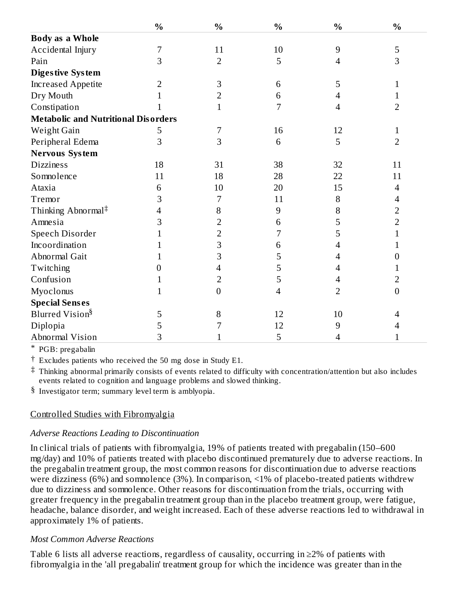|                                            | $\%$        | $\frac{0}{0}$  | $\frac{0}{0}$  | $\frac{0}{0}$ | $\%$           |
|--------------------------------------------|-------------|----------------|----------------|---------------|----------------|
| <b>Body as a Whole</b>                     |             |                |                |               |                |
| Accidental Injury                          | 7           | 11             | 10             | 9             | 5              |
| Pain                                       | 3           | $\overline{2}$ | 5              | 4             | 3              |
| <b>Digestive System</b>                    |             |                |                |               |                |
| <b>Increased Appetite</b>                  | 2           | 3              | 6              | 5             | 1              |
| Dry Mouth                                  | 1           | 2              | 6              | 4             | 1              |
| Constipation                               |             | 1              | 7              | 4             | 2              |
| <b>Metabolic and Nutritional Disorders</b> |             |                |                |               |                |
| Weight Gain                                | 5           | 7              | 16             | 12            | 1              |
| Peripheral Edema                           | 3           | 3              | 6              | 5             | $\overline{2}$ |
| <b>Nervous System</b>                      |             |                |                |               |                |
| <b>Dizziness</b>                           | 18          | 31             | 38             | 32            | 11             |
| Somnolence                                 | 11          | 18             | 28             | 22            | 11             |
| Ataxia                                     | 6           | 10             | 20             | 15            | 4              |
| Tremor                                     | 3           | 7              | 11             | 8             | $\overline{4}$ |
| Thinking Abnormal <sup>‡</sup>             | 4           | 8              | 9              | 8             | $\overline{2}$ |
| Amnesia                                    | 3           | 2              | 6              | 5             | 2              |
| <b>Speech Disorder</b>                     | 1           | 2              | 7              | 5             | 1              |
| Incoordination                             | 1           | 3              | 6              | 4             | 1              |
| Abnormal Gait                              | 1           | 3              | 5              | 4             | $\overline{0}$ |
| Twitching                                  | 0           | 4              | 5              | 4             | 1              |
| Confusion                                  | 1           | 2              | 5              | 4             | $\overline{2}$ |
| Myoclonus                                  | $\mathbf 1$ | $\theta$       | $\overline{4}$ | 2             | $\overline{0}$ |
| <b>Special Senses</b>                      |             |                |                |               |                |
| Blurred Vision <sup>§</sup>                | 5           | 8              | 12             | 10            | 4              |
| Diplopia                                   | 5           | 7              | 12             | 9             | 4              |
| Abnormal Vision                            | 3           | 1              | 5              | 4             | 1              |

\* PGB: pregabalin

† Excludes patients who received the 50 mg dose in Study E1.

‡ Thinking abnormal primarily consists of events related to difficulty with concentration/attention but also includes events related to cognition and language problems and slowed thinking.

§ Investigator term; summary level term is amblyopia.

#### Controlled Studies with Fibromyalgia

### *Adverse Reactions Leading to Discontinuation*

In clinical trials of patients with fibromyalgia, 19% of patients treated with pregabalin (150–600 mg/day) and 10% of patients treated with placebo discontinued prematurely due to adverse reactions. In the pregabalin treatment group, the most common reasons for discontinuation due to adverse reactions were dizziness (6%) and somnolence (3%). In comparison, <1% of placebo-treated patients withdrew due to dizziness and somnolence. Other reasons for discontinuation from the trials, occurring with greater frequency in the pregabalin treatment group than in the placebo treatment group, were fatigue, headache, balance disorder, and weight increased. Each of these adverse reactions led to withdrawal in approximately 1% of patients.

### *Most Common Adverse Reactions*

Table 6 lists all adverse reactions, regardless of causality, occurring in  $\geq$ 2% of patients with fibromyalgia in the 'all pregabalin' treatment group for which the incidence was greater than in the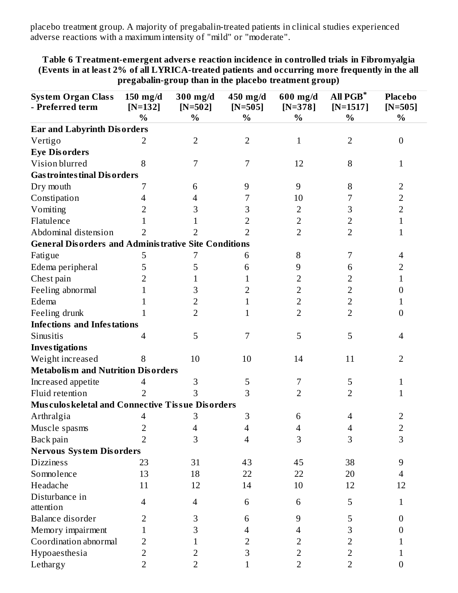placebo treatment group. A majority of pregabalin-treated patients in clinical studies experienced adverse reactions with a maximum intensity of "mild" or "moderate".

| <b>System Organ Class</b><br>- Preferred term               | $150 \text{ mg/d}$<br>$[N=132]$<br>$\frac{0}{0}$ | $300$ mg/d<br>$[N=502]$<br>$\%$ | $450$ mg/d<br>$[N=505]$<br>$\%$ | $600$ mg/d<br>$[N=378]$<br>$\%$ | All PGB*<br>$[N=1517]$<br>$\%$ | <b>Placebo</b><br>$[N=505]$<br>$\%$ |
|-------------------------------------------------------------|--------------------------------------------------|---------------------------------|---------------------------------|---------------------------------|--------------------------------|-------------------------------------|
| <b>Ear and Labyrinth Disorders</b>                          |                                                  |                                 |                                 |                                 |                                |                                     |
| Vertigo                                                     | 2                                                | 2                               | 2                               | 1                               | 2                              | $\boldsymbol{0}$                    |
| <b>Eye Disorders</b>                                        |                                                  |                                 |                                 |                                 |                                |                                     |
| Vision blurred                                              | 8                                                | 7                               | 7                               | 12                              | 8                              | 1                                   |
| <b>Gastrointestinal Disorders</b>                           |                                                  |                                 |                                 |                                 |                                |                                     |
| Dry mouth                                                   | 7                                                | 6                               | 9                               | 9                               | 8                              | 2                                   |
| Constipation                                                | 4                                                | 4                               | 7                               | 10                              | 7                              | 2                                   |
| Vomiting                                                    | 2                                                | 3                               | З                               | $\overline{2}$                  | З                              | $\overline{2}$                      |
| Flatulence                                                  |                                                  |                                 | 2                               | 2                               | 2                              | 1                                   |
| Abdominal distension                                        | 2                                                | $\overline{2}$                  | 2                               | 2                               | 2                              | 1                                   |
| <b>General Disorders and Administrative Site Conditions</b> |                                                  |                                 |                                 |                                 |                                |                                     |
| Fatigue                                                     | 5                                                | 7                               | 6                               | 8                               | 7                              | 4                                   |
| Edema peripheral                                            | 5                                                | 5                               | 6                               | 9                               | 6                              | 2                                   |
| Chest pain                                                  |                                                  | T                               | 1                               | 2                               | 2                              | 1                                   |
| Feeling abnormal                                            | 1                                                | 3                               | 2                               | 2                               | 2                              | 0                                   |
| Edema                                                       | 1                                                | 2                               | 1                               | 2                               | 2                              | 1                                   |
| Feeling drunk                                               | 1                                                | 2                               |                                 | 2                               | 2                              | 0                                   |
| <b>Infections and Infestations</b>                          |                                                  |                                 |                                 |                                 |                                |                                     |
| Sinusitis                                                   | 4                                                | 5                               | 7                               | 5                               | 5                              | 4                                   |
| <b>Investigations</b>                                       |                                                  |                                 |                                 |                                 |                                |                                     |
| Weight increased                                            | 8                                                | 10                              | 10                              | 14                              | 11                             | 2                                   |
| <b>Metabolism and Nutrition Disorders</b>                   |                                                  |                                 |                                 |                                 |                                |                                     |
| Increased appetite                                          | 4                                                | 3                               | 5                               | 7                               | 5                              | 1                                   |
| Fluid retention                                             | 2                                                | 3                               | 3                               | 2                               | 2                              | 1                                   |
| <b>Musculoskeletal and Connective Tissue Disorders</b>      |                                                  |                                 |                                 |                                 |                                |                                     |
| Arthralgia                                                  | 4                                                | 3                               | 3                               | 6                               | 4                              | $\overline{2}$                      |
| Muscle spasms                                               | 2                                                | 4                               | $\overline{4}$                  | 4                               | 4                              | 2                                   |
| Back pain                                                   | 2                                                | 3                               | $\overline{4}$                  | 3                               | 3                              | 3                                   |
| <b>Nervous System Disorders</b>                             |                                                  |                                 |                                 |                                 |                                |                                     |
| <b>Dizziness</b>                                            | 23                                               | 31                              | 43                              | 45                              | 38                             | 9                                   |
| Somnolence                                                  | 13                                               | 18                              | 22                              | 22                              | 20                             | 4                                   |
| Headache                                                    | 11                                               | 12                              | 14                              | 10                              | 12                             | 12                                  |
| Disturbance in                                              |                                                  |                                 |                                 |                                 |                                |                                     |
| attention                                                   | $\overline{4}$                                   | $\overline{4}$                  | 6                               | 6                               | 5                              | $\mathbf{1}$                        |
| Balance disorder                                            | $\overline{2}$                                   | 3                               | 6                               | 9                               | 5                              | $\boldsymbol{0}$                    |
| Memory impairment                                           | 1                                                | 3                               | $\overline{4}$                  | 4                               | 3                              | $\boldsymbol{0}$                    |
| Coordination abnormal                                       | 2                                                | 1                               | 2                               | 2                               | 2                              | 1                                   |
| Hypoaesthesia                                               | 2                                                | 2                               | 3                               | $\overline{2}$                  | $\overline{2}$                 | 1                                   |
| Lethargy                                                    | $\overline{2}$                                   | $\overline{2}$                  | 1                               | $\overline{2}$                  | $\overline{2}$                 | $\boldsymbol{0}$                    |

**Table 6 Treatment-emergent advers e reaction incidence in controlled trials in Fibromyalgia (Events in at least 2% of all LYRICA-treated patients and occurring more frequently in the all pregabalin-group than in the placebo treatment group)**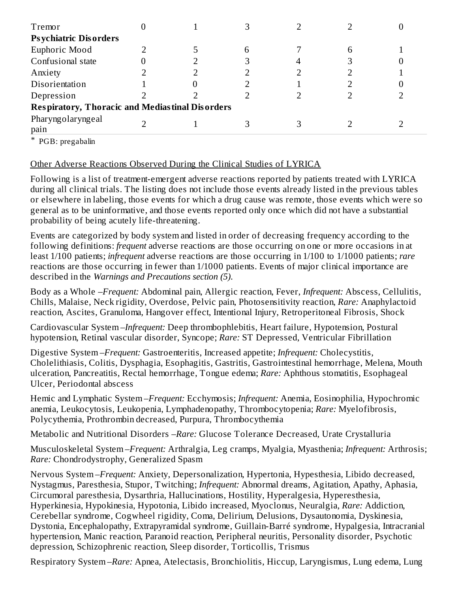| Tremor                                                 |  |   |  |  |
|--------------------------------------------------------|--|---|--|--|
| <b>Psychiatric Disorders</b>                           |  |   |  |  |
| Euphoric Mood                                          |  | h |  |  |
| Confusional state                                      |  |   |  |  |
| Anxiety                                                |  |   |  |  |
| Disorientation                                         |  |   |  |  |
| Depression                                             |  |   |  |  |
| <b>Respiratory, Thoracic and Mediastinal Disorders</b> |  |   |  |  |
| Pharyngolaryngeal<br>pain                              |  |   |  |  |

\* PGB: pregabalin

#### Other Adverse Reactions Observed During the Clinical Studies of LYRICA

Following is a list of treatment-emergent adverse reactions reported by patients treated with LYRICA during all clinical trials. The listing does not include those events already listed in the previous tables or elsewhere in labeling, those events for which a drug cause was remote, those events which were so general as to be uninformative, and those events reported only once which did not have a substantial probability of being acutely life-threatening.

Events are categorized by body system and listed in order of decreasing frequency according to the following definitions: *frequent* adverse reactions are those occurring on one or more occasions in at least 1/100 patients; *infrequent* adverse reactions are those occurring in 1/100 to 1/1000 patients; *rare* reactions are those occurring in fewer than 1/1000 patients. Events of major clinical importance are described in the *Warnings and Precautions section (5)*.

Body as a Whole –*Frequent:* Abdominal pain, Allergic reaction, Fever, *Infrequent:* Abscess, Cellulitis, Chills, Malaise, Neck rigidity, Overdose, Pelvic pain, Photosensitivity reaction, *Rare:* Anaphylactoid reaction, Ascites, Granuloma, Hangover effect, Intentional Injury, Retroperitoneal Fibrosis, Shock

Cardiovascular System –*Infrequent:* Deep thrombophlebitis, Heart failure, Hypotension, Postural hypotension, Retinal vascular disorder, Syncope; *Rare:* ST Depressed, Ventricular Fibrillation

Digestive System –*Frequent:* Gastroenteritis, Increased appetite; *Infrequent:* Cholecystitis, Cholelithiasis, Colitis, Dysphagia, Esophagitis, Gastritis, Gastrointestinal hemorrhage, Melena, Mouth ulceration, Pancreatitis, Rectal hemorrhage, Tongue edema; *Rare:* Aphthous stomatitis, Esophageal Ulcer, Periodontal abscess

Hemic and Lymphatic System –*Frequent:* Ecchymosis; *Infrequent:* Anemia, Eosinophilia, Hypochromic anemia, Leukocytosis, Leukopenia, Lymphadenopathy, Thrombocytopenia; *Rare:* Myelofibrosis, Polycythemia, Prothrombin decreased, Purpura, Thrombocythemia

Metabolic and Nutritional Disorders –*Rare:* Glucose Tolerance Decreased, Urate Crystalluria

Musculoskeletal System –*Frequent:* Arthralgia, Leg cramps, Myalgia, Myasthenia; *Infrequent:* Arthrosis; *Rare:* Chondrodystrophy, Generalized Spasm

Nervous System –*Frequent:* Anxiety, Depersonalization, Hypertonia, Hypesthesia, Libido decreased, Nystagmus, Paresthesia, Stupor, Twitching; *Infrequent:* Abnormal dreams, Agitation, Apathy, Aphasia, Circumoral paresthesia, Dysarthria, Hallucinations, Hostility, Hyperalgesia, Hyperesthesia, Hyperkinesia, Hypokinesia, Hypotonia, Libido increased, Myoclonus, Neuralgia, *Rare:* Addiction, Cerebellar syndrome, Cogwheel rigidity, Coma, Delirium, Delusions, Dysautonomia, Dyskinesia, Dystonia, Encephalopathy, Extrapyramidal syndrome, Guillain-Barré syndrome, Hypalgesia, Intracranial hypertension, Manic reaction, Paranoid reaction, Peripheral neuritis, Personality disorder, Psychotic depression, Schizophrenic reaction, Sleep disorder, Torticollis, Trismus

Respiratory System –*Rare:* Apnea, Atelectasis, Bronchiolitis, Hiccup, Laryngismus, Lung edema, Lung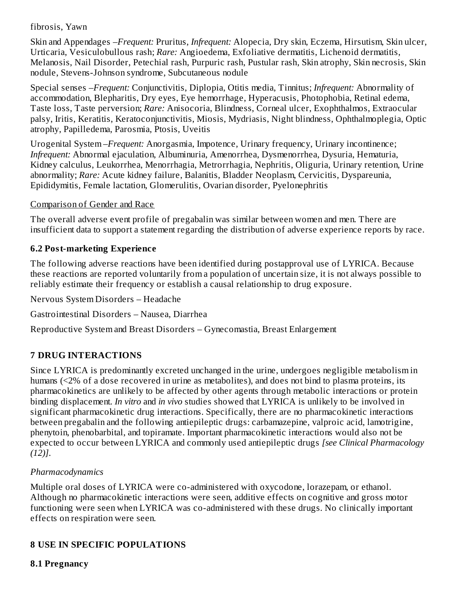## fibrosis, Yawn

Skin and Appendages –*Frequent:* Pruritus, *Infrequent:* Alopecia, Dry skin, Eczema, Hirsutism, Skin ulcer, Urticaria, Vesiculobullous rash; *Rare:* Angioedema, Exfoliative dermatitis, Lichenoid dermatitis, Melanosis, Nail Disorder, Petechial rash, Purpuric rash, Pustular rash, Skin atrophy, Skin necrosis, Skin nodule, Stevens-Johnson syndrome, Subcutaneous nodule

Special senses –*Frequent:* Conjunctivitis, Diplopia, Otitis media, Tinnitus; *Infrequent:* Abnormality of accommodation, Blepharitis, Dry eyes, Eye hemorrhage, Hyperacusis, Photophobia, Retinal edema, Taste loss, Taste perversion; *Rare:* Anisocoria, Blindness, Corneal ulcer, Exophthalmos, Extraocular palsy, Iritis, Keratitis, Keratoconjunctivitis, Miosis, Mydriasis, Night blindness, Ophthalmoplegia, Optic atrophy, Papilledema, Parosmia, Ptosis, Uveitis

Urogenital System –*Frequent:* Anorgasmia, Impotence, Urinary frequency, Urinary incontinence; *Infrequent:* Abnormal ejaculation, Albuminuria, Amenorrhea, Dysmenorrhea, Dysuria, Hematuria, Kidney calculus, Leukorrhea, Menorrhagia, Metrorrhagia, Nephritis, Oliguria, Urinary retention, Urine abnormality; *Rare:* Acute kidney failure, Balanitis, Bladder Neoplasm, Cervicitis, Dyspareunia, Epididymitis, Female lactation, Glomerulitis, Ovarian disorder, Pyelonephritis

# Comparison of Gender and Race

The overall adverse event profile of pregabalin was similar between women and men. There are insufficient data to support a statement regarding the distribution of adverse experience reports by race.

# **6.2 Post-marketing Experience**

The following adverse reactions have been identified during postapproval use of LYRICA. Because these reactions are reported voluntarily from a population of uncertain size, it is not always possible to reliably estimate their frequency or establish a causal relationship to drug exposure.

Nervous System Disorders – Headache

Gastrointestinal Disorders – Nausea, Diarrhea

Reproductive System and Breast Disorders – Gynecomastia, Breast Enlargement

# **7 DRUG INTERACTIONS**

Since LYRICA is predominantly excreted unchanged in the urine, undergoes negligible metabolism in humans (<2% of a dose recovered in urine as metabolites), and does not bind to plasma proteins, its pharmacokinetics are unlikely to be affected by other agents through metabolic interactions or protein binding displacement. *In vitro* and *in vivo* studies showed that LYRICA is unlikely to be involved in significant pharmacokinetic drug interactions. Specifically, there are no pharmacokinetic interactions between pregabalin and the following antiepileptic drugs: carbamazepine, valproic acid, lamotrigine, phenytoin, phenobarbital, and topiramate. Important pharmacokinetic interactions would also not be expected to occur between LYRICA and commonly used antiepileptic drugs *[see Clinical Pharmacology (12)]*.

# *Pharmacodynamics*

Multiple oral doses of LYRICA were co-administered with oxycodone, lorazepam, or ethanol. Although no pharmacokinetic interactions were seen, additive effects on cognitive and gross motor functioning were seen when LYRICA was co-administered with these drugs. No clinically important effects on respiration were seen.

# **8 USE IN SPECIFIC POPULATIONS**

### **8.1 Pregnancy**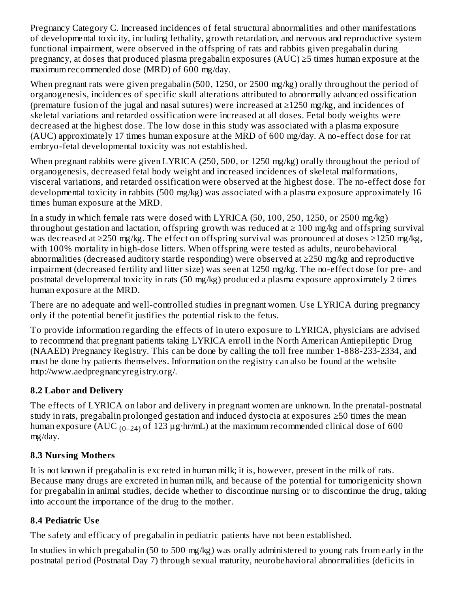Pregnancy Category C. Increased incidences of fetal structural abnormalities and other manifestations of developmental toxicity, including lethality, growth retardation, and nervous and reproductive system functional impairment, were observed in the offspring of rats and rabbits given pregabalin during pregnancy, at doses that produced plasma pregabalin exposures  $(AUC) \geq 5$  times human exposure at the maximum recommended dose (MRD) of 600 mg/day.

When pregnant rats were given pregabalin (500, 1250, or 2500 mg/kg) orally throughout the period of organogenesis, incidences of specific skull alterations attributed to abnormally advanced ossification (premature fusion of the jugal and nasal sutures) were increased at ≥1250 mg/kg, and incidences of skeletal variations and retarded ossification were increased at all doses. Fetal body weights were decreased at the highest dose. The low dose in this study was associated with a plasma exposure (AUC) approximately 17 times human exposure at the MRD of 600 mg/day. A no-effect dose for rat embryo-fetal developmental toxicity was not established.

When pregnant rabbits were given LYRICA (250, 500, or 1250 mg/kg) orally throughout the period of organogenesis, decreased fetal body weight and increased incidences of skeletal malformations, visceral variations, and retarded ossification were observed at the highest dose. The no-effect dose for developmental toxicity in rabbits (500 mg/kg) was associated with a plasma exposure approximately 16 times human exposure at the MRD.

In a study in which female rats were dosed with LYRICA (50, 100, 250, 1250, or 2500 mg/kg) throughout gestation and lactation, offspring growth was reduced at  $\geq 100$  mg/kg and offspring survival was decreased at ≥250 mg/kg. The effect on offspring survival was pronounced at doses ≥1250 mg/kg, with 100% mortality in high-dose litters. When offspring were tested as adults, neurobehavioral abnormalities (decreased auditory startle responding) were observed at ≥250 mg/kg and reproductive impairment (decreased fertility and litter size) was seen at 1250 mg/kg. The no-effect dose for pre- and postnatal developmental toxicity in rats (50 mg/kg) produced a plasma exposure approximately 2 times human exposure at the MRD.

There are no adequate and well-controlled studies in pregnant women. Use LYRICA during pregnancy only if the potential benefit justifies the potential risk to the fetus.

To provide information regarding the effects of in utero exposure to LYRICA, physicians are advised to recommend that pregnant patients taking LYRICA enroll in the North American Antiepileptic Drug (NAAED) Pregnancy Registry. This can be done by calling the toll free number 1-888-233-2334, and must be done by patients themselves. Information on the registry can also be found at the website http://www.aedpregnancyregistry.org/.

# **8.2 Labor and Delivery**

The effects of LYRICA on labor and delivery in pregnant women are unknown. In the prenatal-postnatal study in rats, pregabalin prolonged gestation and induced dystocia at exposures ≥50 times the mean human exposure (AUC  $_{(0-24)}$  of 123  $\mu$ g·hr/mL) at the maximum recommended clinical dose of 600 mg/day.

### **8.3 Nursing Mothers**

It is not known if pregabalin is excreted in human milk; it is, however, present in the milk of rats. Because many drugs are excreted in human milk, and because of the potential for tumorigenicity shown for pregabalin in animal studies, decide whether to discontinue nursing or to discontinue the drug, taking into account the importance of the drug to the mother.

# **8.4 Pediatric Us e**

The safety and efficacy of pregabalin in pediatric patients have not been established.

In studies in which pregabalin (50 to 500 mg/kg) was orally administered to young rats from early in the postnatal period (Postnatal Day 7) through sexual maturity, neurobehavioral abnormalities (deficits in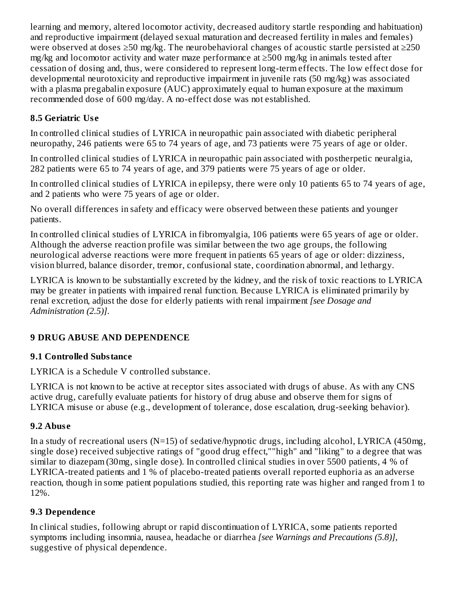learning and memory, altered locomotor activity, decreased auditory startle responding and habituation) and reproductive impairment (delayed sexual maturation and decreased fertility in males and females) were observed at doses ≥50 mg/kg. The neurobehavioral changes of acoustic startle persisted at ≥250 mg/kg and locomotor activity and water maze performance at ≥500 mg/kg in animals tested after cessation of dosing and, thus, were considered to represent long-term effects. The low effect dose for developmental neurotoxicity and reproductive impairment in juvenile rats (50 mg/kg) was associated with a plasma pregabalin exposure (AUC) approximately equal to human exposure at the maximum recommended dose of 600 mg/day. A no-effect dose was not established.

# **8.5 Geriatric Us e**

In controlled clinical studies of LYRICA in neuropathic pain associated with diabetic peripheral neuropathy, 246 patients were 65 to 74 years of age, and 73 patients were 75 years of age or older.

In controlled clinical studies of LYRICA in neuropathic pain associated with postherpetic neuralgia, 282 patients were 65 to 74 years of age, and 379 patients were 75 years of age or older.

In controlled clinical studies of LYRICA in epilepsy, there were only 10 patients 65 to 74 years of age, and 2 patients who were 75 years of age or older.

No overall differences in safety and efficacy were observed between these patients and younger patients.

In controlled clinical studies of LYRICA in fibromyalgia, 106 patients were 65 years of age or older. Although the adverse reaction profile was similar between the two age groups, the following neurological adverse reactions were more frequent in patients 65 years of age or older: dizziness, vision blurred, balance disorder, tremor, confusional state, coordination abnormal, and lethargy.

LYRICA is known to be substantially excreted by the kidney, and the risk of toxic reactions to LYRICA may be greater in patients with impaired renal function. Because LYRICA is eliminated primarily by renal excretion, adjust the dose for elderly patients with renal impairment *[see Dosage and Administration (2.5)]*.

# **9 DRUG ABUSE AND DEPENDENCE**

# **9.1 Controlled Substance**

LYRICA is a Schedule V controlled substance.

LYRICA is not known to be active at receptor sites associated with drugs of abuse. As with any CNS active drug, carefully evaluate patients for history of drug abuse and observe them for signs of LYRICA misuse or abuse (e.g., development of tolerance, dose escalation, drug-seeking behavior).

# **9.2 Abus e**

In a study of recreational users (N=15) of sedative/hypnotic drugs, including alcohol, LYRICA (450mg, single dose) received subjective ratings of "good drug effect,""high" and "liking" to a degree that was similar to diazepam (30mg, single dose). In controlled clinical studies in over 5500 patients, 4 % of LYRICA-treated patients and 1 % of placebo-treated patients overall reported euphoria as an adverse reaction, though in some patient populations studied, this reporting rate was higher and ranged from 1 to 12%.

# **9.3 Dependence**

In clinical studies, following abrupt or rapid discontinuation of LYRICA, some patients reported symptoms including insomnia, nausea, headache or diarrhea *[see Warnings and Precautions (5.8)]*, suggestive of physical dependence.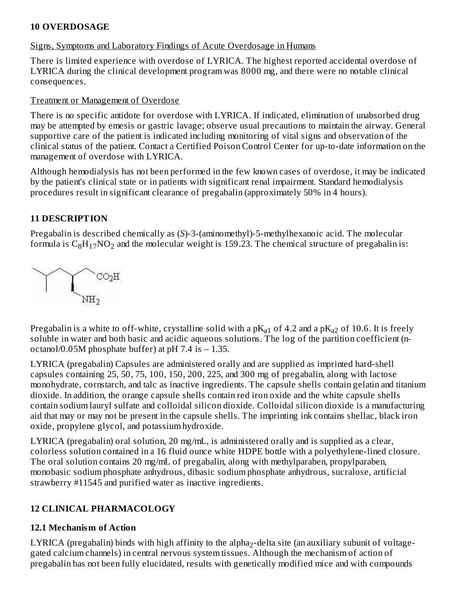## **10 OVERDOSAGE**

# Signs, Symptoms and Laboratory Findings of Acute Overdosage in Humans

There is limited experience with overdose of LYRICA. The highest reported accidental overdose of LYRICA during the clinical development program was 8000 mg, and there were no notable clinical consequences.

## Treatment or Management of Overdose

There is no specific antidote for overdose with LYRICA. If indicated, elimination of unabsorbed drug may be attempted by emesis or gastric lavage; observe usual precautions to maintain the airway. General supportive care of the patient is indicated including monitoring of vital signs and observation of the clinical status of the patient. Contact a Certified Poison Control Center for up-to-date information on the management of overdose with LYRICA.

Although hemodialysis has not been performed in the few known cases of overdose, it may be indicated by the patient's clinical state or in patients with significant renal impairment. Standard hemodialysis procedures result in significant clearance of pregabalin (approximately 50% in 4 hours).

# **11 DESCRIPTION**

Pregabalin is described chemically as (*S*)-3-(aminomethyl)-5-methylhexanoic acid. The molecular formula is  $\rm{C_8H_{17}NO_2}$  and the molecular weight is 159.23. The chemical structure of pregabalin is:



Pregabalin is a white to off-white, crystalline solid with a p $\rm K_{a1}$  of 4.2 and a p $\rm K_{a2}$  of 10.6. It is freely soluble in water and both basic and acidic aqueous solutions. The log of the partition coefficient (noctanol/0.05M phosphate buffer) at  $pH$  7.4 is  $-1.35$ .

LYRICA (pregabalin) Capsules are administered orally and are supplied as imprinted hard-shell capsules containing 25, 50, 75, 100, 150, 200, 225, and 300 mg of pregabalin, along with lactose monohydrate, cornstarch, and talc as inactive ingredients. The capsule shells contain gelatin and titanium dioxide. In addition, the orange capsule shells contain red iron oxide and the white capsule shells contain sodium lauryl sulfate and colloidal silicon dioxide. Colloidal silicon dioxide is a manufacturing aid that may or may not be present in the capsule shells. The imprinting ink contains shellac, black iron oxide, propylene glycol, and potassium hydroxide.

LYRICA (pregabalin) oral solution, 20 mg/mL, is administered orally and is supplied as a clear, colorless solution contained in a 16 fluid ounce white HDPE bottle with a polyethylene-lined closure. The oral solution contains 20 mg/mL of pregabalin, along with methylparaben, propylparaben, monobasic sodium phosphate anhydrous, dibasic sodium phosphate anhydrous, sucralose, artificial strawberry #11545 and purified water as inactive ingredients.

# **12 CLINICAL PHARMACOLOGY**

# **12.1 Mechanism of Action**

 $\rm LYRICA$  (pregabalin) binds with high affinity to the alpha $_2$ -delta site (an auxiliary subunit of voltagegated calcium channels) in central nervous system tissues. Although the mechanism of action of pregabalin has not been fully elucidated, results with genetically modified mice and with compounds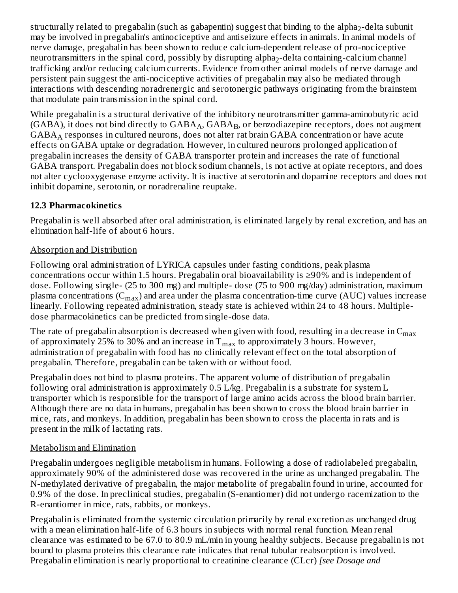$\tt structurally related to pregabalin (such as gabapentin) suggest that binding to the alpha<sub>2</sub>-delta subunit$ may be involved in pregabalin's antinociceptive and antiseizure effects in animals. In animal models of nerve damage, pregabalin has been shown to reduce calcium-dependent release of pro-nociceptive neurotransmitters in the spinal cord, possibly by disrupting alpha<sub>2</sub>-delta containing-calcium channel trafficking and/or reducing calcium currents. Evidence from other animal models of nerve damage and persistent pain suggest the anti-nociceptive activities of pregabalin may also be mediated through interactions with descending noradrenergic and serotonergic pathways originating from the brainstem that modulate pain transmission in the spinal cord.

While pregabalin is a structural derivative of the inhibitory neurotransmitter gamma-aminobutyric acid (GABA), it does not bind directly to  $\mathsf{GABA}_\mathsf{A}, \mathsf{GABA}_\mathsf{B}$ , or benzodiazepine receptors, does not augment  $\mathsf{GABA}_\mathbf{A}$  responses in cultured neurons, does not alter rat brain  $\mathsf{GABA}$  concentration or have acute effects on GABA uptake or degradation. However, in cultured neurons prolonged application of pregabalin increases the density of GABA transporter protein and increases the rate of functional GABA transport. Pregabalin does not block sodium channels, is not active at opiate receptors, and does not alter cyclooxygenase enzyme activity. It is inactive at serotonin and dopamine receptors and does not inhibit dopamine, serotonin, or noradrenaline reuptake.

# **12.3 Pharmacokinetics**

Pregabalin is well absorbed after oral administration, is eliminated largely by renal excretion, and has an elimination half-life of about 6 hours.

# Absorption and Distribution

Following oral administration of LYRICA capsules under fasting conditions, peak plasma concentrations occur within 1.5 hours. Pregabalin oral bioavailability is ≥90% and is independent of dose. Following single- (25 to 300 mg) and multiple- dose (75 to 900 mg/day) administration, maximum plasma concentrations ( $\rm C_{max}$ ) and area under the plasma concentration-time curve (AUC) values increase linearly. Following repeated administration, steady state is achieved within 24 to 48 hours. Multipledose pharmacokinetics can be predicted from single-dose data.

The rate of pregabalin absorption is decreased when given with food, resulting in a decrease in  $\mathsf{C}_{\max}$ of approximately 25% to 30% and an increase in  $\rm T_{max}$  to approximately 3 hours. However, administration of pregabalin with food has no clinically relevant effect on the total absorption of pregabalin. Therefore, pregabalin can be taken with or without food.

Pregabalin does not bind to plasma proteins. The apparent volume of distribution of pregabalin following oral administration is approximately 0.5 L/kg. Pregabalin is a substrate for system L transporter which is responsible for the transport of large amino acids across the blood brain barrier. Although there are no data in humans, pregabalin has been shown to cross the blood brain barrier in mice, rats, and monkeys. In addition, pregabalin has been shown to cross the placenta in rats and is present in the milk of lactating rats.

# Metabolism and Elimination

Pregabalin undergoes negligible metabolism in humans. Following a dose of radiolabeled pregabalin, approximately 90% of the administered dose was recovered in the urine as unchanged pregabalin. The N-methylated derivative of pregabalin, the major metabolite of pregabalin found in urine, accounted for 0.9% of the dose. In preclinical studies, pregabalin (S-enantiomer) did not undergo racemization to the R-enantiomer in mice, rats, rabbits, or monkeys.

Pregabalin is eliminated from the systemic circulation primarily by renal excretion as unchanged drug with a mean elimination half-life of 6.3 hours in subjects with normal renal function. Mean renal clearance was estimated to be 67.0 to 80.9 mL/min in young healthy subjects. Because pregabalin is not bound to plasma proteins this clearance rate indicates that renal tubular reabsorption is involved. Pregabalin elimination is nearly proportional to creatinine clearance (CLcr) *[see Dosage and*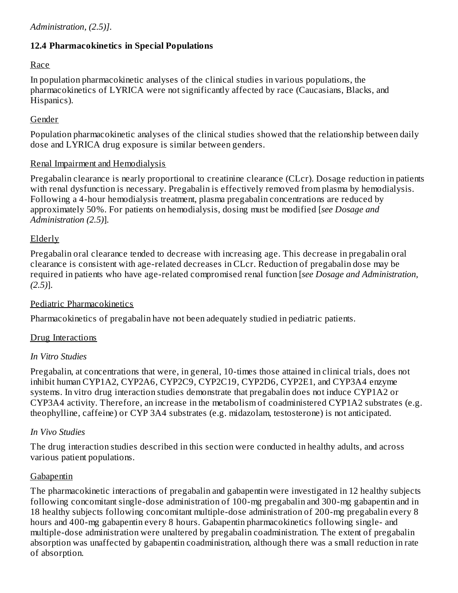# **12.4 Pharmacokinetics in Special Populations**

# Race

In population pharmacokinetic analyses of the clinical studies in various populations, the pharmacokinetics of LYRICA were not significantly affected by race (Caucasians, Blacks, and Hispanics).

# Gender

Population pharmacokinetic analyses of the clinical studies showed that the relationship between daily dose and LYRICA drug exposure is similar between genders.

# Renal Impairment and Hemodialysis

Pregabalin clearance is nearly proportional to creatinine clearance (CLcr). Dosage reduction in patients with renal dysfunction is necessary. Pregabalin is effectively removed from plasma by hemodialysis. Following a 4-hour hemodialysis treatment, plasma pregabalin concentrations are reduced by approximately 50%. For patients on hemodialysis, dosing must be modified [*see Dosage and Administration (2.5)*].

# Elderly

Pregabalin oral clearance tended to decrease with increasing age. This decrease in pregabalin oral clearance is consistent with age-related decreases in CLcr. Reduction of pregabalin dose may be required in patients who have age-related compromised renal function [*see Dosage and Administration, (2.5)*].

# Pediatric Pharmacokinetics

Pharmacokinetics of pregabalin have not been adequately studied in pediatric patients.

### Drug Interactions

### *In Vitro Studies*

Pregabalin, at concentrations that were, in general, 10-times those attained in clinical trials, does not inhibit human CYP1A2, CYP2A6, CYP2C9, CYP2C19, CYP2D6, CYP2E1, and CYP3A4 enzyme systems. In vitro drug interaction studies demonstrate that pregabalin does not induce CYP1A2 or CYP3A4 activity. Therefore, an increase in the metabolism of coadministered CYP1A2 substrates (e.g. theophylline, caffeine) or CYP 3A4 substrates (e.g. midazolam, testosterone) is not anticipated.

# *In Vivo Studies*

The drug interaction studies described in this section were conducted in healthy adults, and across various patient populations.

### **Gabapentin**

The pharmacokinetic interactions of pregabalin and gabapentin were investigated in 12 healthy subjects following concomitant single-dose administration of 100-mg pregabalin and 300-mg gabapentin and in 18 healthy subjects following concomitant multiple-dose administration of 200-mg pregabalin every 8 hours and 400-mg gabapentin every 8 hours. Gabapentin pharmacokinetics following single- and multiple-dose administration were unaltered by pregabalin coadministration. The extent of pregabalin absorption was unaffected by gabapentin coadministration, although there was a small reduction in rate of absorption.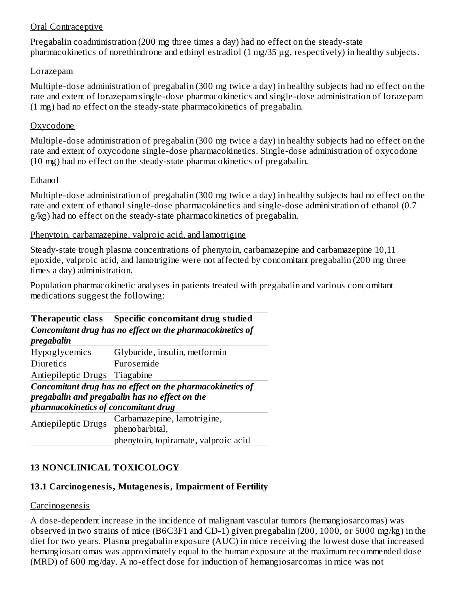### Oral Contraceptive

Pregabalin coadministration (200 mg three times a day) had no effect on the steady-state pharmacokinetics of norethindrone and ethinyl estradiol (1 mg/35 µg, respectively) in healthy subjects.

#### Lorazepam

Multiple-dose administration of pregabalin (300 mg twice a day) in healthy subjects had no effect on the rate and extent of lorazepam single-dose pharmacokinetics and single-dose administration of lorazepam (1 mg) had no effect on the steady-state pharmacokinetics of pregabalin.

#### Oxycodone

Multiple-dose administration of pregabalin (300 mg twice a day) in healthy subjects had no effect on the rate and extent of oxycodone single-dose pharmacokinetics. Single-dose administration of oxycodone (10 mg) had no effect on the steady-state pharmacokinetics of pregabalin.

#### Ethanol

Multiple-dose administration of pregabalin (300 mg twice a day) in healthy subjects had no effect on the rate and extent of ethanol single-dose pharmacokinetics and single-dose administration of ethanol (0.7 g/kg) had no effect on the steady-state pharmacokinetics of pregabalin.

#### Phenytoin, carbamazepine, valproic acid, and lamotrigine

Steady-state trough plasma concentrations of phenytoin, carbamazepine and carbamazepine 10,11 epoxide, valproic acid, and lamotrigine were not affected by concomitant pregabalin (200 mg three times a day) administration.

Population pharmacokinetic analyses in patients treated with pregabalin and various concomitant medications suggest the following:

|                                                                         | Therapeutic class Specific concomitant drug studied                                                         |  |  |  |  |  |  |
|-------------------------------------------------------------------------|-------------------------------------------------------------------------------------------------------------|--|--|--|--|--|--|
| Concomitant drug has no effect on the pharmacokinetics of<br>pregabalin |                                                                                                             |  |  |  |  |  |  |
| Hypoglycemics                                                           | Glyburide, insulin, metformin                                                                               |  |  |  |  |  |  |
| <b>Diuretics</b>                                                        | Furosemide                                                                                                  |  |  |  |  |  |  |
| Antiepileptic Drugs Tiagabine                                           |                                                                                                             |  |  |  |  |  |  |
| pharmacokinetics of concomitant drug                                    | Concomitant drug has no effect on the pharmacokinetics of<br>pregabalin and pregabalin has no effect on the |  |  |  |  |  |  |
|                                                                         | Carbamazepine, lamotrigine,                                                                                 |  |  |  |  |  |  |
| Antiepileptic Drugs                                                     | phenobarbital,                                                                                              |  |  |  |  |  |  |
|                                                                         | phenytoin, topiramate, valproic acid                                                                        |  |  |  |  |  |  |

# **13 NONCLINICAL TOXICOLOGY**

### **13.1 Carcinogenesis, Mutagenesis, Impairment of Fertility**

### **Carcinogenesis**

A dose-dependent increase in the incidence of malignant vascular tumors (hemangiosarcomas) was observed in two strains of mice (B6C3F1 and CD-1) given pregabalin (200, 1000, or 5000 mg/kg) in the diet for two years. Plasma pregabalin exposure (AUC) in mice receiving the lowest dose that increased hemangiosarcomas was approximately equal to the human exposure at the maximum recommended dose (MRD) of 600 mg/day. A no-effect dose for induction of hemangiosarcomas in mice was not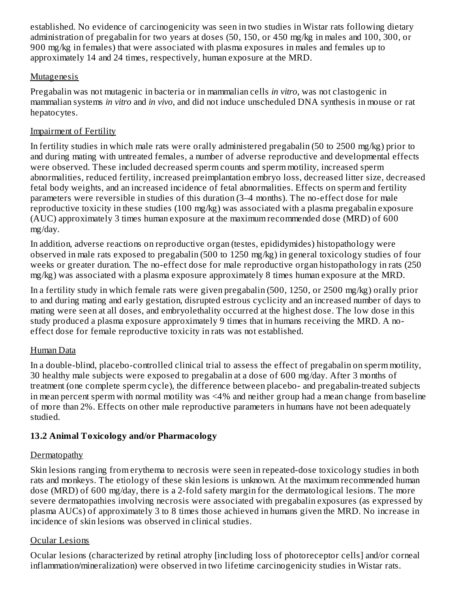established. No evidence of carcinogenicity was seen in two studies in Wistar rats following dietary administration of pregabalin for two years at doses (50, 150, or 450 mg/kg in males and 100, 300, or 900 mg/kg in females) that were associated with plasma exposures in males and females up to approximately 14 and 24 times, respectively, human exposure at the MRD.

## Mutagenesis

Pregabalin was not mutagenic in bacteria or in mammalian cells *in vitro*, was not clastogenic in mammalian systems *in vitro* and *in vivo*, and did not induce unscheduled DNA synthesis in mouse or rat hepatocytes.

# Impairment of Fertility

In fertility studies in which male rats were orally administered pregabalin (50 to 2500 mg/kg) prior to and during mating with untreated females, a number of adverse reproductive and developmental effects were observed. These included decreased sperm counts and sperm motility, increased sperm abnormalities, reduced fertility, increased preimplantation embryo loss, decreased litter size, decreased fetal body weights, and an increased incidence of fetal abnormalities. Effects on sperm and fertility parameters were reversible in studies of this duration (3–4 months). The no-effect dose for male reproductive toxicity in these studies (100 mg/kg) was associated with a plasma pregabalin exposure (AUC) approximately 3 times human exposure at the maximum recommended dose (MRD) of 600 mg/day.

In addition, adverse reactions on reproductive organ (testes, epididymides) histopathology were observed in male rats exposed to pregabalin (500 to 1250 mg/kg) in general toxicology studies of four weeks or greater duration. The no-effect dose for male reproductive organ histopathology in rats (250 mg/kg) was associated with a plasma exposure approximately 8 times human exposure at the MRD.

In a fertility study in which female rats were given pregabalin (500, 1250, or 2500 mg/kg) orally prior to and during mating and early gestation, disrupted estrous cyclicity and an increased number of days to mating were seen at all doses, and embryolethality occurred at the highest dose. The low dose in this study produced a plasma exposure approximately 9 times that in humans receiving the MRD. A noeffect dose for female reproductive toxicity in rats was not established.

# Human Data

In a double-blind, placebo-controlled clinical trial to assess the effect of pregabalin on sperm motility, 30 healthy male subjects were exposed to pregabalin at a dose of 600 mg/day. After 3 months of treatment (one complete sperm cycle), the difference between placebo- and pregabalin-treated subjects in mean percent sperm with normal motility was <4% and neither group had a mean change from baseline of more than 2%. Effects on other male reproductive parameters in humans have not been adequately studied.

# **13.2 Animal Toxicology and/or Pharmacology**

# Dermatopathy

Skin lesions ranging from erythema to necrosis were seen in repeated-dose toxicology studies in both rats and monkeys. The etiology of these skin lesions is unknown. At the maximum recommended human dose (MRD) of 600 mg/day, there is a 2-fold safety margin for the dermatological lesions. The more severe dermatopathies involving necrosis were associated with pregabalin exposures (as expressed by plasma AUCs) of approximately 3 to 8 times those achieved in humans given the MRD. No increase in incidence of skin lesions was observed in clinical studies.

# Ocular Lesions

Ocular lesions (characterized by retinal atrophy [including loss of photoreceptor cells] and/or corneal inflammation/mineralization) were observed in two lifetime carcinogenicity studies in Wistar rats.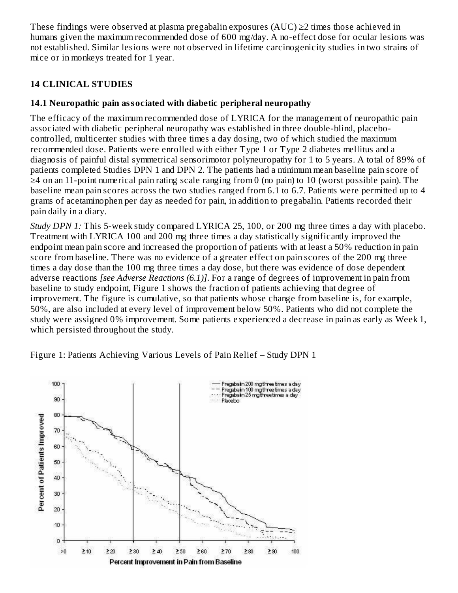These findings were observed at plasma pregabalin exposures (AUC)  $\geq$  times those achieved in humans given the maximum recommended dose of 600 mg/day. A no-effect dose for ocular lesions was not established. Similar lesions were not observed in lifetime carcinogenicity studies in two strains of mice or in monkeys treated for 1 year.

# **14 CLINICAL STUDIES**

# **14.1 Neuropathic pain associated with diabetic peripheral neuropathy**

The efficacy of the maximum recommended dose of LYRICA for the management of neuropathic pain associated with diabetic peripheral neuropathy was established in three double-blind, placebocontrolled, multicenter studies with three times a day dosing, two of which studied the maximum recommended dose. Patients were enrolled with either Type 1 or Type 2 diabetes mellitus and a diagnosis of painful distal symmetrical sensorimotor polyneuropathy for 1 to 5 years. A total of 89% of patients completed Studies DPN 1 and DPN 2. The patients had a minimum mean baseline pain score of ≥4 on an 11-point numerical pain rating scale ranging from 0 (no pain) to 10 (worst possible pain). The baseline mean pain scores across the two studies ranged from 6.1 to 6.7. Patients were permitted up to 4 grams of acetaminophen per day as needed for pain, in addition to pregabalin. Patients recorded their pain daily in a diary.

*Study DPN 1:* This 5-week study compared LYRICA 25, 100, or 200 mg three times a day with placebo. Treatment with LYRICA 100 and 200 mg three times a day statistically significantly improved the endpoint mean pain score and increased the proportion of patients with at least a 50% reduction in pain score from baseline. There was no evidence of a greater effect on pain scores of the 200 mg three times a day dose than the 100 mg three times a day dose, but there was evidence of dose dependent adverse reactions *[see Adverse Reactions (6.1)]*. For a range of degrees of improvement in pain from baseline to study endpoint, Figure 1 shows the fraction of patients achieving that degree of improvement. The figure is cumulative, so that patients whose change from baseline is, for example, 50%, are also included at every level of improvement below 50%. Patients who did not complete the study were assigned 0% improvement. Some patients experienced a decrease in pain as early as Week 1, which persisted throughout the study.

Figure 1: Patients Achieving Various Levels of Pain Relief – Study DPN 1

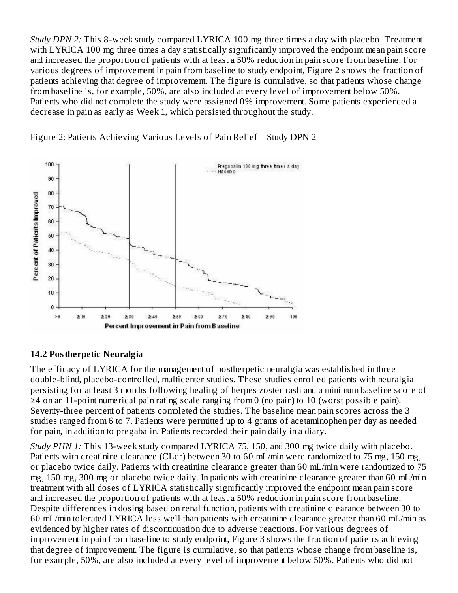*Study DPN 2:* This 8-week study compared LYRICA 100 mg three times a day with placebo. Treatment with LYRICA 100 mg three times a day statistically significantly improved the endpoint mean pain score and increased the proportion of patients with at least a 50% reduction in pain score from baseline. For various degrees of improvement in pain from baseline to study endpoint, Figure 2 shows the fraction of patients achieving that degree of improvement. The figure is cumulative, so that patients whose change from baseline is, for example, 50%, are also included at every level of improvement below 50%. Patients who did not complete the study were assigned 0% improvement. Some patients experienced a decrease in pain as early as Week 1, which persisted throughout the study.





### **14.2 Postherpetic Neuralgia**

The efficacy of LYRICA for the management of postherpetic neuralgia was established in three double-blind, placebo-controlled, multicenter studies. These studies enrolled patients with neuralgia persisting for at least 3 months following healing of herpes zoster rash and a minimum baseline score of ≥4 on an 11-point numerical pain rating scale ranging from 0 (no pain) to 10 (worst possible pain). Seventy-three percent of patients completed the studies. The baseline mean pain scores across the 3 studies ranged from 6 to 7. Patients were permitted up to 4 grams of acetaminophen per day as needed for pain, in addition to pregabalin. Patients recorded their pain daily in a diary.

*Study PHN 1:* This 13-week study compared LYRICA 75, 150, and 300 mg twice daily with placebo. Patients with creatinine clearance (CLcr) between 30 to 60 mL/min were randomized to 75 mg, 150 mg, or placebo twice daily. Patients with creatinine clearance greater than 60 mL/min were randomized to 75 mg, 150 mg, 300 mg or placebo twice daily. In patients with creatinine clearance greater than 60 mL/min treatment with all doses of LYRICA statistically significantly improved the endpoint mean pain score and increased the proportion of patients with at least a 50% reduction in pain score from baseline. Despite differences in dosing based on renal function, patients with creatinine clearance between 30 to 60 mL/min tolerated LYRICA less well than patients with creatinine clearance greater than 60 mL/min as evidenced by higher rates of discontinuation due to adverse reactions. For various degrees of improvement in pain from baseline to study endpoint, Figure 3 shows the fraction of patients achieving that degree of improvement. The figure is cumulative, so that patients whose change from baseline is, for example, 50%, are also included at every level of improvement below 50%. Patients who did not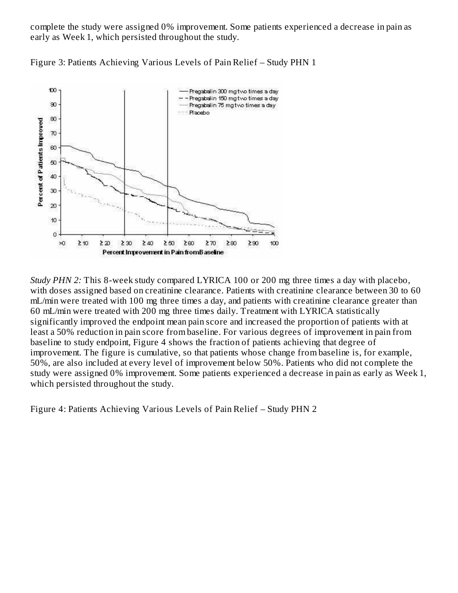complete the study were assigned 0% improvement. Some patients experienced a decrease in pain as early as Week 1, which persisted throughout the study.





*Study PHN 2:* This 8-week study compared LYRICA 100 or 200 mg three times a day with placebo, with doses assigned based on creatinine clearance. Patients with creatinine clearance between 30 to 60 mL/min were treated with 100 mg three times a day, and patients with creatinine clearance greater than 60 mL/min were treated with 200 mg three times daily. Treatment with LYRICA statistically significantly improved the endpoint mean pain score and increased the proportion of patients with at least a 50% reduction in pain score from baseline. For various degrees of improvement in pain from baseline to study endpoint, Figure 4 shows the fraction of patients achieving that degree of improvement. The figure is cumulative, so that patients whose change from baseline is, for example, 50%, are also included at every level of improvement below 50%. Patients who did not complete the study were assigned 0% improvement. Some patients experienced a decrease in pain as early as Week 1, which persisted throughout the study.

Figure 4: Patients Achieving Various Levels of Pain Relief – Study PHN 2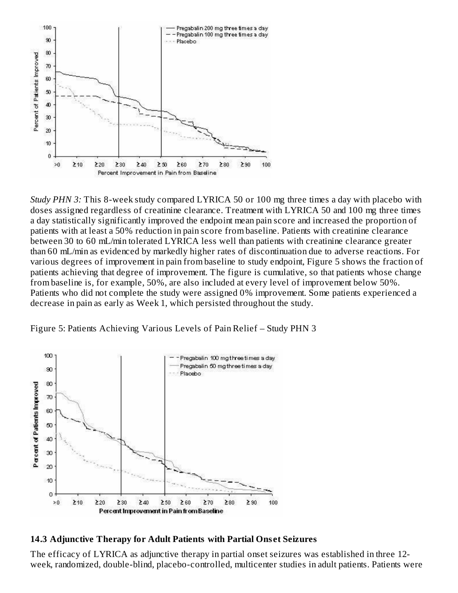

*Study PHN 3:* This 8-week study compared LYRICA 50 or 100 mg three times a day with placebo with doses assigned regardless of creatinine clearance. Treatment with LYRICA 50 and 100 mg three times a day statistically significantly improved the endpoint mean pain score and increased the proportion of patients with at least a 50% reduction in pain score from baseline. Patients with creatinine clearance between 30 to 60 mL/min tolerated LYRICA less well than patients with creatinine clearance greater than 60 mL/min as evidenced by markedly higher rates of discontinuation due to adverse reactions. For various degrees of improvement in pain from baseline to study endpoint, Figure 5 shows the fraction of patients achieving that degree of improvement. The figure is cumulative, so that patients whose change from baseline is, for example, 50%, are also included at every level of improvement below 50%. Patients who did not complete the study were assigned 0% improvement. Some patients experienced a decrease in pain as early as Week 1, which persisted throughout the study.

Figure 5: Patients Achieving Various Levels of Pain Relief – Study PHN 3



#### **14.3 Adjunctive Therapy for Adult Patients with Partial Ons et Seizures**

The efficacy of LYRICA as adjunctive therapy in partial onset seizures was established in three 12 week, randomized, double-blind, placebo-controlled, multicenter studies in adult patients. Patients were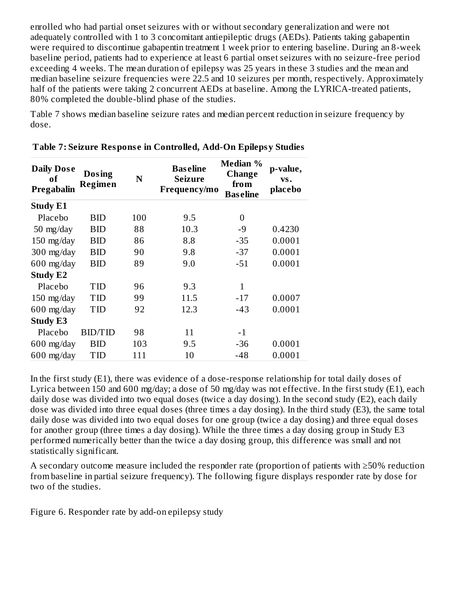enrolled who had partial onset seizures with or without secondary generalization and were not adequately controlled with 1 to 3 concomitant antiepileptic drugs (AEDs). Patients taking gabapentin were required to discontinue gabapentin treatment 1 week prior to entering baseline. During an 8-week baseline period, patients had to experience at least 6 partial onset seizures with no seizure-free period exceeding 4 weeks. The mean duration of epilepsy was 25 years in these 3 studies and the mean and median baseline seizure frequencies were 22.5 and 10 seizures per month, respectively. Approximately half of the patients were taking 2 concurrent AEDs at baseline. Among the LYRICA-treated patients, 80% completed the double-blind phase of the studies.

Table 7 shows median baseline seizure rates and median percent reduction in seizure frequency by dose.

| <b>Daily Dose</b><br>of<br>Pregabalin | Dosing<br>Regimen | N   | <b>Bas eline</b><br>Seizure<br>Frequency/mo | <b>Median</b> %<br><b>Change</b><br>from<br><b>Baseline</b> | p-value,<br>VS.<br>placebo |
|---------------------------------------|-------------------|-----|---------------------------------------------|-------------------------------------------------------------|----------------------------|
| <b>Study E1</b>                       |                   |     |                                             |                                                             |                            |
| Placebo                               | <b>BID</b>        | 100 | 9.5                                         | 0                                                           |                            |
| $50$ mg/day                           | <b>BID</b>        | 88  | 10.3                                        | $-9$                                                        | 0.4230                     |
| $150$ mg/day                          | <b>BID</b>        | 86  | 8.8                                         | $-35$                                                       | 0.0001                     |
| $300$ mg/day                          | BID               | 90  | 9.8                                         | $-37$                                                       | 0.0001                     |
| $600$ mg/day                          | <b>BID</b>        | 89  | 9.0                                         | $-51$                                                       | 0.0001                     |
| <b>Study E2</b>                       |                   |     |                                             |                                                             |                            |
| Placebo                               | TID               | 96  | 9.3                                         | 1                                                           |                            |
| $150 \; \text{mg/day}$                | TID               | 99  | 11.5                                        | $-17$                                                       | 0.0007                     |
| $600$ mg/day                          | TID               | 92  | 12.3                                        | $-43$                                                       | 0.0001                     |
| <b>Study E3</b>                       |                   |     |                                             |                                                             |                            |
| Placebo                               | <b>BID/TID</b>    | 98  | 11                                          | $-1$                                                        |                            |
| $600$ mg/day                          | <b>BID</b>        | 103 | 9.5                                         | $-36$                                                       | 0.0001                     |
| $600$ mg/day                          | TID               | 111 | 10                                          | $-48$                                                       | 0.0001                     |

In the first study (E1), there was evidence of a dose-response relationship for total daily doses of Lyrica between 150 and 600 mg/day; a dose of 50 mg/day was not effective. In the first study (E1), each daily dose was divided into two equal doses (twice a day dosing). In the second study (E2), each daily dose was divided into three equal doses (three times a day dosing). In the third study (E3), the same total daily dose was divided into two equal doses for one group (twice a day dosing) and three equal doses for another group (three times a day dosing). While the three times a day dosing group in Study E3 performed numerically better than the twice a day dosing group, this difference was small and not statistically significant.

A secondary outcome measure included the responder rate (proportion of patients with ≥50% reduction from baseline in partial seizure frequency). The following figure displays responder rate by dose for two of the studies.

Figure 6. Responder rate by add-on epilepsy study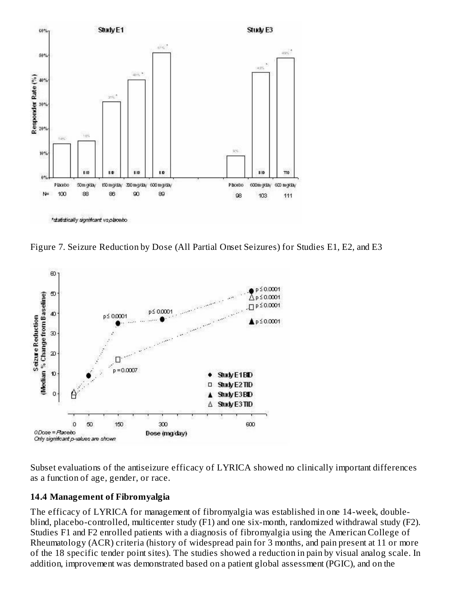

Figure 7. Seizure Reduction by Dose (All Partial Onset Seizures) for Studies E1, E2, and E3



Subset evaluations of the antiseizure efficacy of LYRICA showed no clinically important differences as a function of age, gender, or race.

### **14.4 Management of Fibromyalgia**

The efficacy of LYRICA for management of fibromyalgia was established in one 14-week, doubleblind, placebo-controlled, multicenter study (F1) and one six-month, randomized withdrawal study (F2). Studies F1 and F2 enrolled patients with a diagnosis of fibromyalgia using the American College of Rheumatology (ACR) criteria (history of widespread pain for 3 months, and pain present at 11 or more of the 18 specific tender point sites). The studies showed a reduction in pain by visual analog scale. In addition, improvement was demonstrated based on a patient global assessment (PGIC), and on the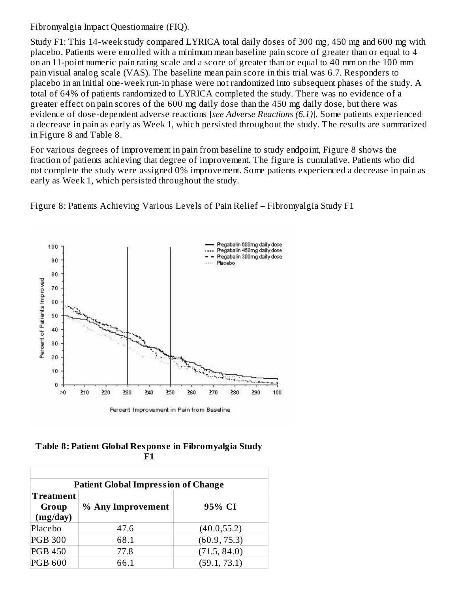Fibromyalgia Impact Questionnaire (FIQ).

Study F1: This 14-week study compared LYRICA total daily doses of 300 mg, 450 mg and 600 mg with placebo. Patients were enrolled with a minimum mean baseline pain score of greater than or equal to 4 on an 11-point numeric pain rating scale and a score of greater than or equal to 40 mm on the 100 mm pain visual analog scale (VAS). The baseline mean pain score in this trial was 6.7. Responders to placebo in an initial one-week run-in phase were not randomized into subsequent phases of the study. A total of 64% of patients randomized to LYRICA completed the study. There was no evidence of a greater effect on pain scores of the 600 mg daily dose than the 450 mg daily dose, but there was evidence of dose-dependent adverse reactions [*see Adverse Reactions (6.1)*]. Some patients experienced a decrease in pain as early as Week 1, which persisted throughout the study. The results are summarized in Figure 8 and Table 8.

For various degrees of improvement in pain from baseline to study endpoint, Figure 8 shows the fraction of patients achieving that degree of improvement. The figure is cumulative. Patients who did not complete the study were assigned 0% improvement. Some patients experienced a decrease in pain as early as Week 1, which persisted throughout the study.





#### **Table 8: Patient Global Respons e in Fibromyalgia Study F1**

| <b>Patient Global Impression of Change</b> |                   |              |  |  |  |
|--------------------------------------------|-------------------|--------------|--|--|--|
| Treatment                                  |                   |              |  |  |  |
| Group                                      | % Any Improvement | 95% CI       |  |  |  |
| (mg/day)                                   |                   |              |  |  |  |
| Placebo                                    | 47.6              | (40.0, 55.2) |  |  |  |
| <b>PGB 300</b>                             | 68.1              | (60.9, 75.3) |  |  |  |
| <b>PGB 450</b>                             | 77.8              | (71.5, 84.0) |  |  |  |
| <b>PGB 600</b>                             | 66.1              | (59.1, 73.1) |  |  |  |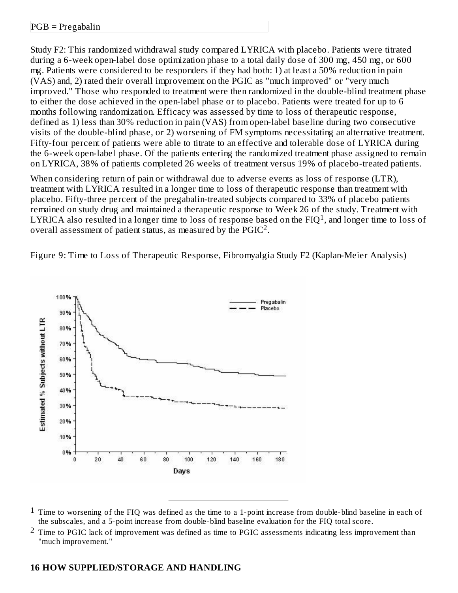Study F2: This randomized withdrawal study compared LYRICA with placebo. Patients were titrated during a 6-week open-label dose optimization phase to a total daily dose of 300 mg, 450 mg, or 600 mg. Patients were considered to be responders if they had both: 1) at least a 50% reduction in pain (VAS) and, 2) rated their overall improvement on the PGIC as "much improved" or "very much improved." Those who responded to treatment were then randomized in the double-blind treatment phase to either the dose achieved in the open-label phase or to placebo. Patients were treated for up to 6 months following randomization. Efficacy was assessed by time to loss of therapeutic response, defined as 1) less than 30% reduction in pain (VAS) from open-label baseline during two consecutive visits of the double-blind phase, or 2) worsening of FM symptoms necessitating an alternative treatment. Fifty-four percent of patients were able to titrate to an effective and tolerable dose of LYRICA during the 6-week open-label phase. Of the patients entering the randomized treatment phase assigned to remain on LYRICA, 38% of patients completed 26 weeks of treatment versus 19% of placebo-treated patients.

When considering return of pain or withdrawal due to adverse events as loss of response (LTR), treatment with LYRICA resulted in a longer time to loss of therapeutic response than treatment with placebo. Fifty-three percent of the pregabalin-treated subjects compared to 33% of placebo patients remained on study drug and maintained a therapeutic response to Week 26 of the study. Treatment with LYRICA also resulted in a longer time to loss of response based on the FIQ<sup>1</sup>, and longer time to loss of overall assessment of patient status, as measured by the  $PGIC<sup>2</sup>$ .

Figure 9: Time to Loss of Therapeutic Response, Fibromyalgia Study F2 (Kaplan-Meier Analysis)



 $^1$  Time to worsening of the FIQ was defined as the time to a 1-point increase from double-blind baseline in each of the subscales, and a 5-point increase from double-blind baseline evaluation for the FIQ total score.

<sup>2</sup> Time to PGIC lack of improvement was defined as time to PGIC assessments indicating less improvement than "much improvement."

### **16 HOW SUPPLIED/STORAGE AND HANDLING**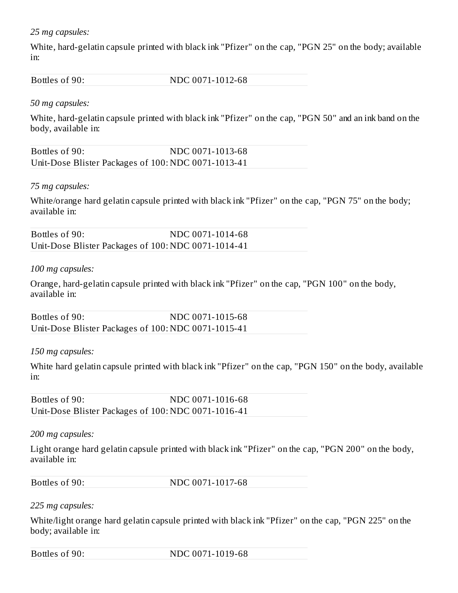*25 mg capsules:*

White, hard-gelatin capsule printed with black ink "Pfizer" on the cap, "PGN 25" on the body; available in:

| Bottles of 90: | NDC 0071-1012-68 |
|----------------|------------------|
|                |                  |

*50 mg capsules:*

White, hard-gelatin capsule printed with black ink "Pfizer" on the cap, "PGN 50" and an ink band on the body, available in:

| Bottles of 90:                                      | NDC 0071-1013-68 |
|-----------------------------------------------------|------------------|
| Unit-Dose Blister Packages of 100: NDC 0071-1013-41 |                  |

#### *75 mg capsules:*

White/orange hard gelatin capsule printed with black ink "Pfizer" on the cap, "PGN 75" on the body; available in:

| Bottles of 90:                                      | NDC 0071-1014-68 |
|-----------------------------------------------------|------------------|
| Unit-Dose Blister Packages of 100: NDC 0071-1014-41 |                  |

*100 mg capsules:*

Orange, hard-gelatin capsule printed with black ink "Pfizer" on the cap, "PGN 100" on the body, available in:

Bottles of 90: NDC 0071-1015-68 Unit-Dose Blister Packages of 100: NDC 0071-1015-41

*150 mg capsules:*

White hard gelatin capsule printed with black ink "Pfizer" on the cap, "PGN 150" on the body, available in:

| Bottles of 90:                                      | NDC 0071-1016-68 |
|-----------------------------------------------------|------------------|
| Unit-Dose Blister Packages of 100: NDC 0071-1016-41 |                  |

#### *200 mg capsules:*

Light orange hard gelatin capsule printed with black ink "Pfizer" on the cap, "PGN 200" on the body, available in:

*225 mg capsules:*

White/light orange hard gelatin capsule printed with black ink "Pfizer" on the cap, "PGN 225" on the body; available in:

Bottles of 90: NDC 0071-1019-68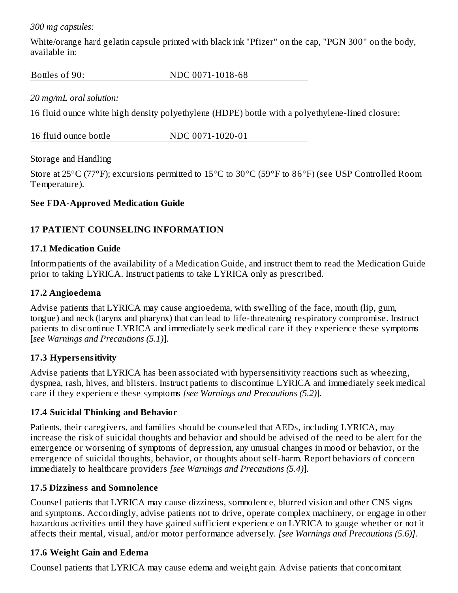*300 mg capsules:*

White/orange hard gelatin capsule printed with black ink "Pfizer" on the cap, "PGN 300" on the body, available in:

| Bottles of 90: | NDC 0071-1018-68 |
|----------------|------------------|

*20 mg/mL oral solution:*

16 fluid ounce white high density polyethylene (HDPE) bottle with a polyethylene-lined closure:

| 16 fluid ounce bottle<br>NDC 0071-1020-01 |
|-------------------------------------------|
|-------------------------------------------|

#### Storage and Handling

Store at 25°C (77°F); excursions permitted to 15°C to 30°C (59°F to 86°F) (see USP Controlled Room Temperature).

### **See FDA-Approved Medication Guide**

# **17 PATIENT COUNSELING INFORMATION**

#### **17.1 Medication Guide**

Inform patients of the availability of a Medication Guide, and instruct them to read the Medication Guide prior to taking LYRICA. Instruct patients to take LYRICA only as prescribed.

#### **17.2 Angioedema**

Advise patients that LYRICA may cause angioedema, with swelling of the face, mouth (lip, gum, tongue) and neck (larynx and pharynx) that can lead to life-threatening respiratory compromise. Instruct patients to discontinue LYRICA and immediately seek medical care if they experience these symptoms [*see Warnings and Precautions (5.1)*].

### **17.3 Hypers ensitivity**

Advise patients that LYRICA has been associated with hypersensitivity reactions such as wheezing, dyspnea, rash, hives, and blisters. Instruct patients to discontinue LYRICA and immediately seek medical care if they experience these symptoms *[see Warnings and Precautions (5.2)*].

### **17.4 Suicidal Thinking and Behavior**

Patients, their caregivers, and families should be counseled that AEDs, including LYRICA, may increase the risk of suicidal thoughts and behavior and should be advised of the need to be alert for the emergence or worsening of symptoms of depression, any unusual changes in mood or behavior, or the emergence of suicidal thoughts, behavior, or thoughts about self-harm. Report behaviors of concern immediately to healthcare providers *[see Warnings and Precautions (5.4)*].

### **17.5 Dizziness and Somnolence**

Counsel patients that LYRICA may cause dizziness, somnolence, blurred vision and other CNS signs and symptoms. Accordingly, advise patients not to drive, operate complex machinery, or engage in other hazardous activities until they have gained sufficient experience on LYRICA to gauge whether or not it affects their mental, visual, and/or motor performance adversely. *[see Warnings and Precautions (5.6)].*

### **17.6 Weight Gain and Edema**

Counsel patients that LYRICA may cause edema and weight gain. Advise patients that concomitant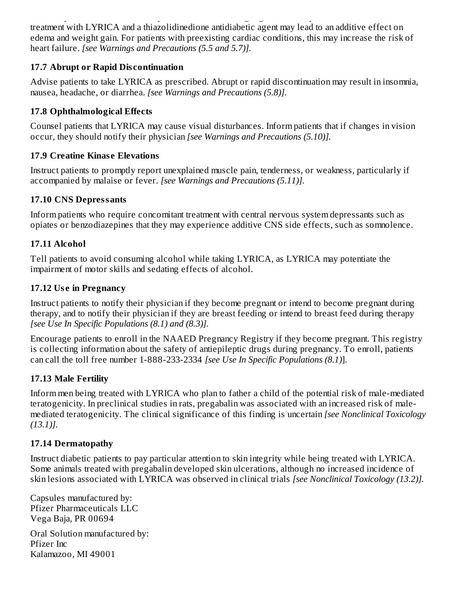Counsel patients that LYRICA may cause edema and weight gain. Advise patients that concomitant treatment with LYRICA and a thiazolidinedione antidiabetic agent may lead to an additive effect on edema and weight gain. For patients with preexisting cardiac conditions, this may increase the risk of heart failure. *[see Warnings and Precautions (5.5 and 5.7)].*

# **17.7 Abrupt or Rapid Dis continuation**

Advise patients to take LYRICA as prescribed. Abrupt or rapid discontinuation may result in insomnia, nausea, headache, or diarrhea. *[see Warnings and Precautions (5.8)].*

# **17.8 Ophthalmological Effects**

Counsel patients that LYRICA may cause visual disturbances. Inform patients that if changes in vision occur, they should notify their physician *[see Warnings and Precautions (5.10)].*

# **17.9 Creatine Kinas e Elevations**

Instruct patients to promptly report unexplained muscle pain, tenderness, or weakness, particularly if accompanied by malaise or fever. *[see Warnings and Precautions (5.11)].*

# **17.10 CNS Depressants**

Inform patients who require concomitant treatment with central nervous system depressants such as opiates or benzodiazepines that they may experience additive CNS side effects, such as somnolence.

# **17.11 Alcohol**

Tell patients to avoid consuming alcohol while taking LYRICA, as LYRICA may potentiate the impairment of motor skills and sedating effects of alcohol.

# **17.12 Us e in Pregnancy**

Instruct patients to notify their physician if they become pregnant or intend to become pregnant during therapy, and to notify their physician if they are breast feeding or intend to breast feed during therapy *[see Use In Specific Populations (8.1) and (8.3)].*

Encourage patients to enroll in the NAAED Pregnancy Registry if they become pregnant. This registry is collecting information about the safety of antiepileptic drugs during pregnancy. To enroll, patients can call the toll free number 1-888-233-2334 *[see Use In Specific Populations (8.1)*].

# **17.13 Male Fertility**

Inform men being treated with LYRICA who plan to father a child of the potential risk of male-mediated teratogenicity. In preclinical studies in rats, pregabalin was associated with an increased risk of malemediated teratogenicity. The clinical significance of this finding is uncertain *[see Nonclinical Toxicology (13.1)].*

# **17.14 Dermatopathy**

Instruct diabetic patients to pay particular attention to skin integrity while being treated with LYRICA. Some animals treated with pregabalin developed skin ulcerations, although no increased incidence of skin lesions associated with LYRICA was observed in clinical trials *[see Nonclinical Toxicology (13.2)].*

Capsules manufactured by: Pfizer Pharmaceuticals LLC Vega Baja, PR 00694

Oral Solution manufactured by: Pfizer Inc Kalamazoo, MI 49001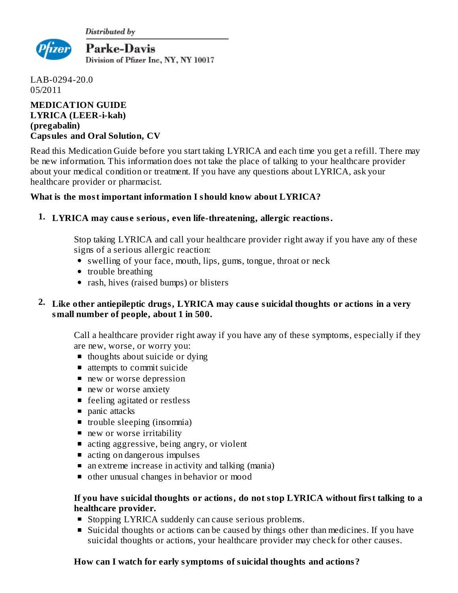Distributed by



LAB-0294-20.0 05/2011

#### **MEDICATION GUIDE LYRICA (LEER-i-kah) (pregabalin) Capsules and Oral Solution, CV**

Read this Medication Guide before you start taking LYRICA and each time you get a refill. There may be new information. This information does not take the place of talking to your healthcare provider about your medical condition or treatment. If you have any questions about LYRICA, ask your healthcare provider or pharmacist.

### **What is the most important information I should know about LYRICA?**

# **1. LYRICA may caus e s erious, even life-threatening, allergic reactions.**

Stop taking LYRICA and call your healthcare provider right away if you have any of these signs of a serious allergic reaction:

- swelling of your face, mouth, lips, gums, tongue, throat or neck
- trouble breathing
- rash, hives (raised bumps) or blisters

### **2. Like other antiepileptic drugs, LYRICA may caus e suicidal thoughts or actions in a very small number of people, about 1 in 500.**

Call a healthcare provider right away if you have any of these symptoms, especially if they are new, worse, or worry you:

- $\blacksquare$  thoughts about suicide or dying
- attempts to commit suicide
- new or worse depression
- new or worse anxiety
- **feeling agitated or restless**
- **panic attacks**
- trouble sleeping (insomnia)
- new or worse irritability
- acting aggressive, being angry, or violent
- acting on dangerous impulses
- an extreme increase in activity and talking (mania)
- other unusual changes in behavior or mood

#### **If you have suicidal thoughts or actions, do not stop LYRICA without first talking to a healthcare provider.**

- **Stopping LYRICA suddenly can cause serious problems.**
- Suicidal thoughts or actions can be caused by things other than medicines. If you have suicidal thoughts or actions, your healthcare provider may check for other causes.

### **How can I watch for early symptoms of suicidal thoughts and actions?**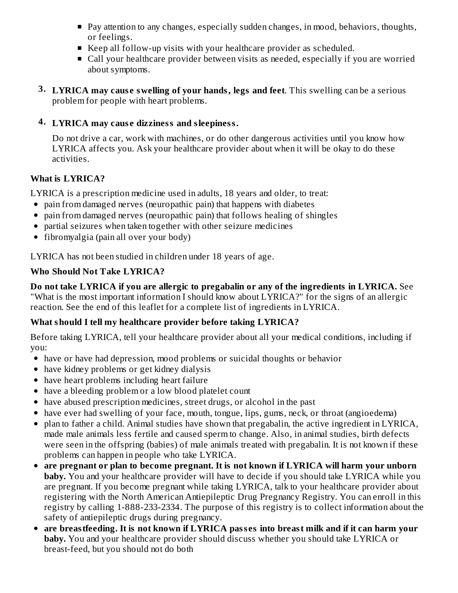- **Pay attention to any changes, especially sudden changes, in mood, behaviors, thoughts,** or feelings.
- Keep all follow-up visits with your healthcare provider as scheduled.
- Call your healthcare provider between visits as needed, especially if you are worried about symptoms.
- **3. LYRICA may caus e swelling of your hands, legs and feet**. This swelling can be a serious problem for people with heart problems.

# **4. LYRICA may caus e dizziness and sleepiness.**

Do not drive a car, work with machines, or do other dangerous activities until you know how LYRICA affects you. Ask your healthcare provider about when it will be okay to do these activities.

# **What is LYRICA?**

LYRICA is a prescription medicine used in adults, 18 years and older, to treat:

- pain from damaged nerves (neuropathic pain) that happens with diabetes  $\bullet$
- pain from damaged nerves (neuropathic pain) that follows healing of shingles  $\bullet$
- partial seizures when taken together with other seizure medicines
- fibromyalgia (pain all over your body)

LYRICA has not been studied in children under 18 years of age.

# **Who Should Not Take LYRICA?**

**Do not take LYRICA if you are allergic to pregabalin or any of the ingredients in LYRICA.** See "What is the most important information I should know about LYRICA?" for the signs of an allergic reaction. See the end of this leaflet for a complete list of ingredients in LYRICA.

### **What should I tell my healthcare provider before taking LYRICA?**

Before taking LYRICA, tell your healthcare provider about all your medical conditions, including if you:

- have or have had depression, mood problems or suicidal thoughts or behavior
- have kidney problems or get kidney dialysis
- have heart problems including heart failure
- have a bleeding problem or a low blood platelet count
- have abused prescription medicines, street drugs, or alcohol in the past
- have ever had swelling of your face, mouth, tongue, lips, gums, neck, or throat (angioedema)
- $\bullet$ plan to father a child. Animal studies have shown that pregabalin, the active ingredient in LYRICA, made male animals less fertile and caused sperm to change. Also, in animal studies, birth defects were seen in the offspring (babies) of male animals treated with pregabalin. It is not known if these problems can happen in people who take LYRICA.
- **are pregnant or plan to become pregnant. It is not known if LYRICA will harm your unborn**  $\bullet$ **baby.** You and your healthcare provider will have to decide if you should take LYRICA while you are pregnant. If you become pregnant while taking LYRICA, talk to your healthcare provider about registering with the North American Antiepileptic Drug Pregnancy Registry. You can enroll in this registry by calling 1-888-233-2334. The purpose of this registry is to collect information about the safety of antiepileptic drugs during pregnancy.
- are breastfeeding. It is not known if LYRICA passes into breast milk and if it can harm your **baby.** You and your healthcare provider should discuss whether you should take LYRICA or breast-feed, but you should not do both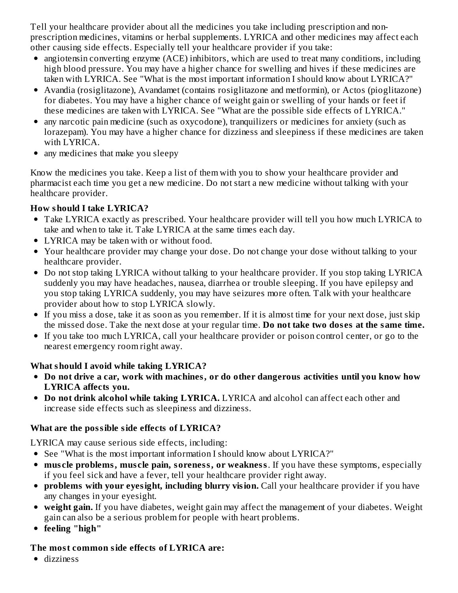Tell your healthcare provider about all the medicines you take including prescription and nonprescription medicines, vitamins or herbal supplements. LYRICA and other medicines may affect each other causing side effects. Especially tell your healthcare provider if you take:

- angiotensin converting enzyme (ACE) inhibitors, which are used to treat many conditions, including high blood pressure. You may have a higher chance for swelling and hives if these medicines are taken with LYRICA. See "What is the most important information I should know about LYRICA?"
- Avandia (rosiglitazone), Avandamet (contains rosiglitazone and metformin), or Actos (pioglitazone) for diabetes. You may have a higher chance of weight gain or swelling of your hands or feet if these medicines are taken with LYRICA. See "What are the possible side effects of LYRICA."
- any narcotic pain medicine (such as oxycodone), tranquilizers or medicines for anxiety (such as lorazepam). You may have a higher chance for dizziness and sleepiness if these medicines are taken with LYRICA.
- any medicines that make you sleepy

Know the medicines you take. Keep a list of them with you to show your healthcare provider and pharmacist each time you get a new medicine. Do not start a new medicine without talking with your healthcare provider.

# **How should I take LYRICA?**

- Take LYRICA exactly as prescribed. Your healthcare provider will tell you how much LYRICA to take and when to take it. Take LYRICA at the same times each day.
- LYRICA may be taken with or without food.
- Your healthcare provider may change your dose. Do not change your dose without talking to your healthcare provider.
- Do not stop taking LYRICA without talking to your healthcare provider. If you stop taking LYRICA suddenly you may have headaches, nausea, diarrhea or trouble sleeping. If you have epilepsy and you stop taking LYRICA suddenly, you may have seizures more often. Talk with your healthcare provider about how to stop LYRICA slowly.
- If you miss a dose, take it as soon as you remember. If it is almost time for your next dose, just skip the missed dose. Take the next dose at your regular time. **Do not take two dos es at the same time.**
- If you take too much LYRICA, call your healthcare provider or poison control center, or go to the nearest emergency room right away.

# **What should I avoid while taking LYRICA?**

- **Do not drive a car, work with machines, or do other dangerous activities until you know how LYRICA affects you.**
- **Do not drink alcohol while taking LYRICA.** LYRICA and alcohol can affect each other and increase side effects such as sleepiness and dizziness.

# **What are the possible side effects of LYRICA?**

LYRICA may cause serious side effects, including:

- See "What is the most important information I should know about LYRICA?"
- **mus cle problems, mus cle pain, soreness, or weakness**. If you have these symptoms, especially if you feel sick and have a fever, tell your healthcare provider right away.
- **problems with your eyesight, including blurry vision.** Call your healthcare provider if you have any changes in your eyesight.
- **weight gain.** If you have diabetes, weight gain may affect the management of your diabetes. Weight gain can also be a serious problem for people with heart problems.
- **feeling "high"**

# **The most common side effects of LYRICA are:**

dizziness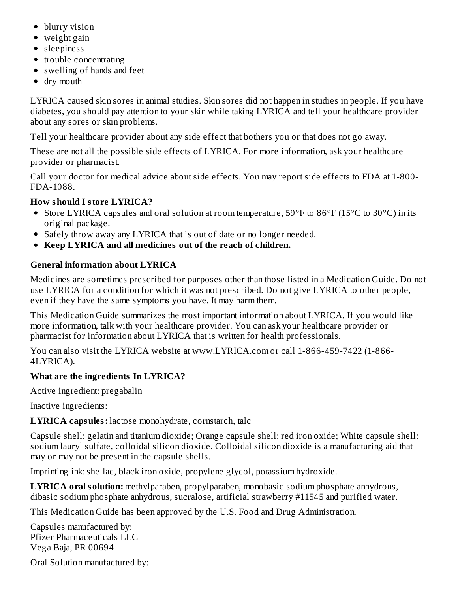- blurry vision
- weight gain
- sleepiness
- trouble concentrating
- swelling of hands and feet
- dry mouth

LYRICA caused skin sores in animal studies. Skin sores did not happen in studies in people. If you have diabetes, you should pay attention to your skin while taking LYRICA and tell your healthcare provider about any sores or skin problems.

Tell your healthcare provider about any side effect that bothers you or that does not go away.

These are not all the possible side effects of LYRICA. For more information, ask your healthcare provider or pharmacist.

Call your doctor for medical advice about side effects. You may report side effects to FDA at 1-800- FDA-1088.

# **How should I store LYRICA?**

- Store LYRICA capsules and oral solution at room temperature, 59°F to 86°F (15°C to 30°C) in its original package.
- Safely throw away any LYRICA that is out of date or no longer needed.
- **Keep LYRICA and all medicines out of the reach of children.**

# **General information about LYRICA**

Medicines are sometimes prescribed for purposes other than those listed in a Medication Guide. Do not use LYRICA for a condition for which it was not prescribed. Do not give LYRICA to other people, even if they have the same symptoms you have. It may harm them.

This Medication Guide summarizes the most important information about LYRICA. If you would like more information, talk with your healthcare provider. You can ask your healthcare provider or pharmacist for information about LYRICA that is written for health professionals.

You can also visit the LYRICA website at www.LYRICA.com or call 1-866-459-7422 (1-866- 4LYRICA).

# **What are the ingredients In LYRICA?**

Active ingredient: pregabalin

Inactive ingredients:

# **LYRICA capsules:** lactose monohydrate, cornstarch, talc

Capsule shell: gelatin and titanium dioxide; Orange capsule shell: red iron oxide; White capsule shell: sodium lauryl sulfate, colloidal silicon dioxide. Colloidal silicon dioxide is a manufacturing aid that may or may not be present in the capsule shells.

Imprinting ink: shellac, black iron oxide, propylene glycol, potassium hydroxide.

**LYRICA oral solution:** methylparaben, propylparaben, monobasic sodium phosphate anhydrous, dibasic sodium phosphate anhydrous, sucralose, artificial strawberry #11545 and purified water.

This Medication Guide has been approved by the U.S. Food and Drug Administration.

Capsules manufactured by: Pfizer Pharmaceuticals LLC Vega Baja, PR 00694

Oral Solution manufactured by: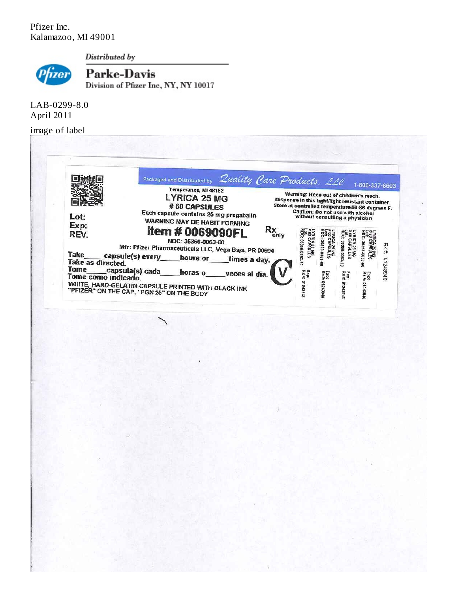Pfizer Inc. Kalamazoo, MI 49001



Distributed by

**Parke-Davis** Division of Pfizer Inc, NY, NY 10017

LAB-0299-8.0 April 2011

image of label

|                                                                                 | Packaged and Distributed by                                                                                                                                                                                                                                      | Zuality Care Products, LLC                  |                                                                                                                                                                                                                              |                                                                       |                                                                                    | 1-800-337-8603                                              |                    |
|---------------------------------------------------------------------------------|------------------------------------------------------------------------------------------------------------------------------------------------------------------------------------------------------------------------------------------------------------------|---------------------------------------------|------------------------------------------------------------------------------------------------------------------------------------------------------------------------------------------------------------------------------|-----------------------------------------------------------------------|------------------------------------------------------------------------------------|-------------------------------------------------------------|--------------------|
| Lot:                                                                            | Temperance, MI 48182<br><b>LYRICA 25 MG</b><br>#60 CAPSULES<br>Each capsule contains 25 mg pregabalin<br><b>WARNING MAY BE HABIT FORMING</b>                                                                                                                     |                                             | Warning: Keep out of children's reach.<br>Dispense in this tight/light resistant container.<br>Store at controlled temperature 59-86 degrees F.<br><b>Caution: Do not use with alcohol</b><br>without consulting a physician |                                                                       |                                                                                    |                                                             |                    |
| Exp:<br>REV.<br>Take<br>Take as directed.<br><b>Tome</b><br>Tome como indicado. | Item # 0069090FL<br>NDC: 35356-0053-60<br>Mfr: Pfizer Pharmaceuticals LLC, Vega Baja, PR 00694<br>capsule(s) every_<br>hours or<br>capsula(s) cada<br>horas o<br>WHITE, HARD-GELATIN CAPSULE PRINTED WITH BLACK INK<br>"PFIZER" ON THE CAP, "PGN 25" ON THE BODY | Rx<br>only<br>times a day.<br>veces al dia. | <b>YRICA 25 MG</b><br>FORICA 25 MG<br>C: 35356-0063.60<br>Exp:<br>Rx # 01243946                                                                                                                                              | YRICA 25 MG<br>180 CAPSULES<br>35356-0053-60<br>Exp:<br>Rx # 01243946 | <b>VRICA 25 MG</b><br>190 CAPSULES<br>C: 35356-0053-60<br>Exp:<br>Rx 米<br>11243945 | <b>CAPSULE</b><br>35356-0053-60<br>Exp:<br>Rx #<br>89843946 | 짖<br>张<br>01243946 |
|                                                                                 |                                                                                                                                                                                                                                                                  |                                             |                                                                                                                                                                                                                              |                                                                       |                                                                                    |                                                             |                    |
|                                                                                 |                                                                                                                                                                                                                                                                  |                                             |                                                                                                                                                                                                                              |                                                                       |                                                                                    |                                                             |                    |
|                                                                                 |                                                                                                                                                                                                                                                                  |                                             |                                                                                                                                                                                                                              |                                                                       |                                                                                    |                                                             |                    |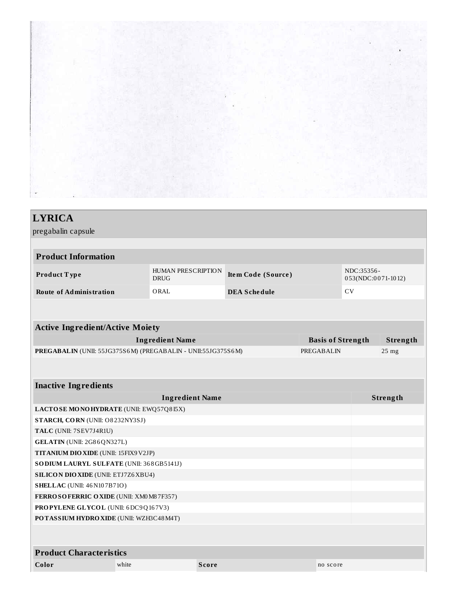

| <b>LYRICA</b>                                                |       |                                   |                     |                          |                    |          |
|--------------------------------------------------------------|-------|-----------------------------------|---------------------|--------------------------|--------------------|----------|
| pregabalin capsule                                           |       |                                   |                     |                          |                    |          |
|                                                              |       |                                   |                     |                          |                    |          |
| <b>Product Information</b>                                   |       |                                   |                     |                          |                    |          |
| Product Type                                                 |       | HUMAN PRESCRIPTION<br><b>DRUG</b> | Item Code (Source)  | NDC:35356-               | 053(NDC:0071-1012) |          |
| <b>Route of Administration</b>                               |       | ORAL                              | <b>DEA Schedule</b> |                          | CV                 |          |
|                                                              |       |                                   |                     |                          |                    |          |
| <b>Active Ingredient/Active Moiety</b>                       |       |                                   |                     |                          |                    |          |
|                                                              |       |                                   |                     |                          |                    |          |
|                                                              |       | <b>Ingredient Name</b>            |                     | <b>Basis of Strength</b> |                    | Strength |
| PREGABALIN (UNII: 55JG375S6M) (PREGABALIN - UNII:55JG375S6M) |       |                                   |                     | PREGABALIN               |                    | 25 mg    |
|                                                              |       |                                   |                     |                          |                    |          |
| <b>Inactive Ingredients</b>                                  |       |                                   |                     |                          |                    |          |
|                                                              |       | <b>Ingredient Name</b>            |                     |                          |                    | Strength |
| LACTOSE MONOHYDRATE (UNII: EWQ57Q8I5X)                       |       |                                   |                     |                          |                    |          |
| STARCH, CORN (UNII: O8232NY3SJ)                              |       |                                   |                     |                          |                    |          |
| TALC (UNII: 7SEV7J4R1U)                                      |       |                                   |                     |                          |                    |          |
| GELATIN (UNII: 2G86QN327L)                                   |       |                                   |                     |                          |                    |          |
| TITANIUM DIO XIDE (UNII: 15FIX9V2JP)                         |       |                                   |                     |                          |                    |          |
| SODIUM LAURYL SULFATE (UNII: 368GB5141J)                     |       |                                   |                     |                          |                    |          |
| SILICON DIOXIDE (UNII: ETJ7Z6XBU4)                           |       |                                   |                     |                          |                    |          |
| <b>SHELLAC</b> (UNII: 46 N107B71O)                           |       |                                   |                     |                          |                    |          |
| FERROSOFERRIC OXIDE (UNII: XM0 M8 7F357)                     |       |                                   |                     |                          |                    |          |
| PROPYLENE GLYCOL (UNII: 6DC9Q167V3)                          |       |                                   |                     |                          |                    |          |
| POTASSIUM HYDROXIDE (UNII: WZH3C48M4T)                       |       |                                   |                     |                          |                    |          |
|                                                              |       |                                   |                     |                          |                    |          |
| <b>Product Characteristics</b>                               |       |                                   |                     |                          |                    |          |
| Color                                                        | white | <b>Score</b>                      |                     | no score                 |                    |          |
|                                                              |       |                                   |                     |                          |                    |          |